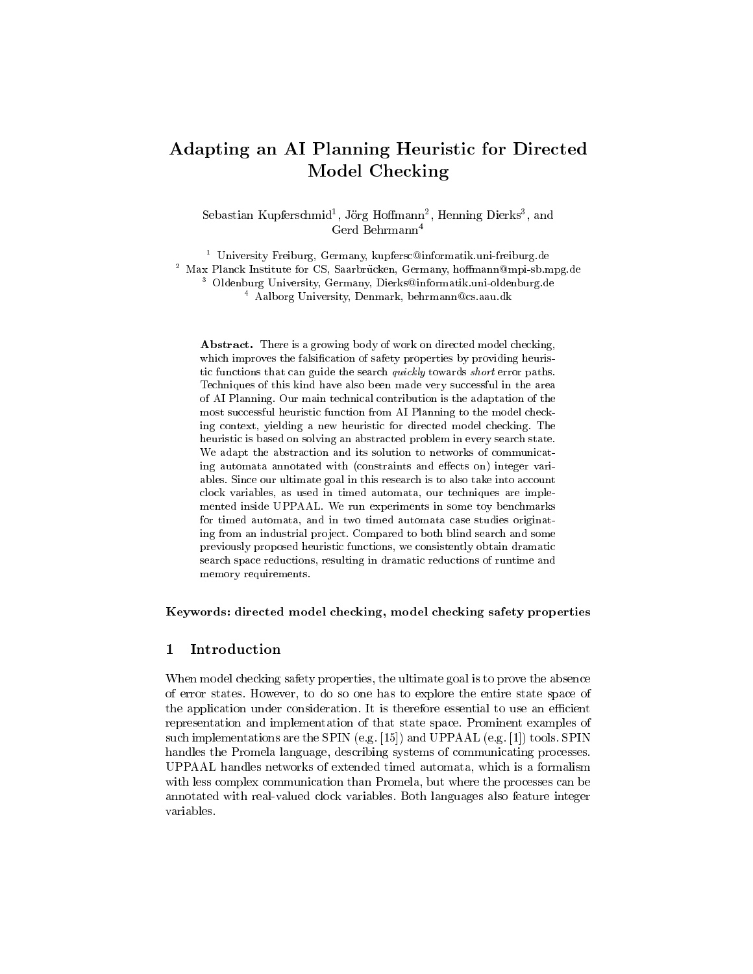# Adapting an AI Planning Heuristic for Directed Model Checking

Sebastian Kupferschmid<sup>1</sup>, Jörg Hoffmann<sup>2</sup>, Henning Dierks<sup>3</sup>, and  $\mbox{Gerd}$ Behrmann<br/> $^4$ 

<sup>1</sup> University Freiburg, Germany, kupfersc@informatik.uni-freiburg.de  $^2\,$  Max Planck Institute for CS, Saarbrücken, Germany, hoffmann@mpi-sb.mpg.de <sup>3</sup> Oldenburg University, Germany, Dierks@informatik.uni-oldenburg.de <sup>4</sup> Aalborg University, Denmark, behrmann@cs.aau.dk

Abstract. There is a growing body of work on directed model checking, which improves the falsification of safety properties by providing heuristic functions that can guide the search quickly towards short error paths. Techniques of this kind have also been made very successful in the area of AI Planning. Our main technical contribution is the adaptation of the most successful heuristic function from AI Planning to the model checking context, yielding a new heuristic for directed model checking. The heuristic is based on solving an abstracted problem in every search state. We adapt the abstraction and its solution to networks of communicating automata annotated with (constraints and effects on) integer variables. Since our ultimate goal in this research is to also take into account clock variables, as used in timed automata, our techniques are implemented inside UPPAAL. We run experiments in some toy benchmarks for timed automata, and in two timed automata case studies originating from an industrial project. Compared to both blind search and some previously proposed heuristic functions, we consistently obtain dramatic search space reductions, resulting in dramatic reductions of runtime and memory requirements.

### Keywords: directed model checking, model checking safety properties

## 1 Introduction

When model checking safety properties, the ultimate goal is to prove the absence of error states. However, to do so one has to explore the entire state space of the application under consideration. It is therefore essential to use an efficient representation and implementation of that state space. Prominent examples of such implementations are the SPIN (e.g. [15]) and UPPAAL (e.g. [1]) tools. SPIN handles the Promela language, describing systems of communicating processes. UPPAAL handles networks of extended timed automata, which is a formalism with less complex communication than Promela, but where the processes can be annotated with real-valued clock variables. Both languages also feature integer variables.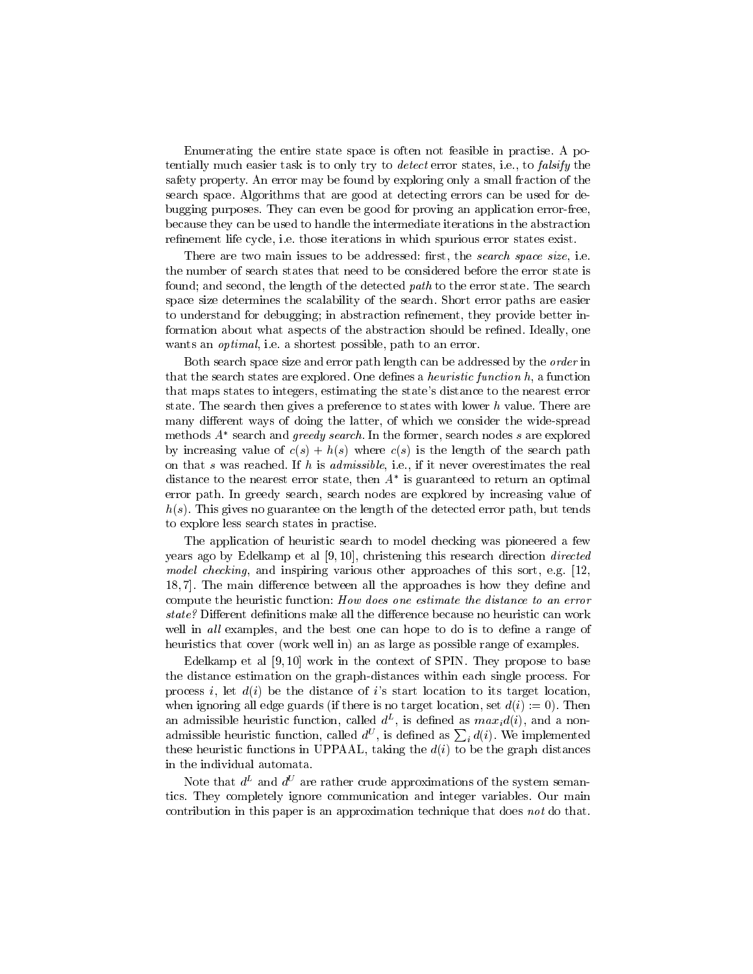Enumerating the entire state space is often not feasible in practise. A potentially much easier task is to only try to *detect* error states, i.e., to *falsify* the safety property. An error may be found by exploring only a small fraction of the search space. Algorithms that are good at detecting errors can be used for debugging purposes. They can even be good for proving an application error-free, because they can be used to handle the intermediate iterations in the abstraction refinement life cycle, i.e. those iterations in which spurious error states exist.

There are two main issues to be addressed: first, the *search space size*, i.e. the number of search states that need to be considered before the error state is found; and second, the length of the detected *path* to the error state. The search space size determines the scalability of the search. Short error paths are easier to understand for debugging; in abstraction refinement, they provide better information about what aspects of the abstraction should be refined. Ideally, one wants an optimal, i.e. a shortest possible, path to an error.

Both search space size and error path length can be addressed by the order in that the search states are explored. One defines a *heuristic function*  $h$ , a function that maps states to integers, estimating the state's distance to the nearest error state. The search then gives a preference to states with lower  $h$  value. There are many different ways of doing the latter, of which we consider the wide-spread methods  $A^*$  search and greedy search. In the former, search nodes s are explored by increasing value of  $c(s) + h(s)$  where  $c(s)$  is the length of the search path on that s was reached. If h is *admissible*, i.e., if it never overestimates the real distance to the nearest error state, then  $A^*$  is guaranteed to return an optimal error path. In greedy search, search nodes are explored by increasing value of  $h(s)$ . This gives no guarantee on the length of the detected error path, but tends to explore less search states in practise.

The application of heuristic search to model checking was pioneered a few years ago by Edelkamp et al [9, 10], christening this research direction directed model checking, and inspiring various other approaches of this sort, e.g.  $[12]$ . 18, 7. The main difference between all the approaches is how they define and compute the heuristic function: How does one estimate the distance to an error  $state$ ? Different definitions make all the difference because no heuristic can work well in all examples, and the best one can hope to do is to define a range of heuristics that cover (work well in) an as large as possible range of examples.

Edelkamp et al [9, 10] work in the context of SPIN. They propose to base the distance estimation on the graph-distances within each single process. For process i, let  $d(i)$  be the distance of i's start location to its target location, when ignoring all edge guards (if there is no target location, set  $d(i) := 0$ ). Then an admissible heuristic function, called  $d^L$ , is defined as  $max_i d(i)$ , and a nonadmissible heuristic function, called  $d^U$ , is defined as  $\sum_i d(i)$ . We implemented these heuristic functions in UPPAAL, taking the  $d(i)$  to be the graph distances in the individual automata.

Note that  $d^L$  and  $d^U$  are rather crude approximations of the system semantics. They completely ignore communication and integer variables. Our main contribution in this paper is an approximation technique that does not do that.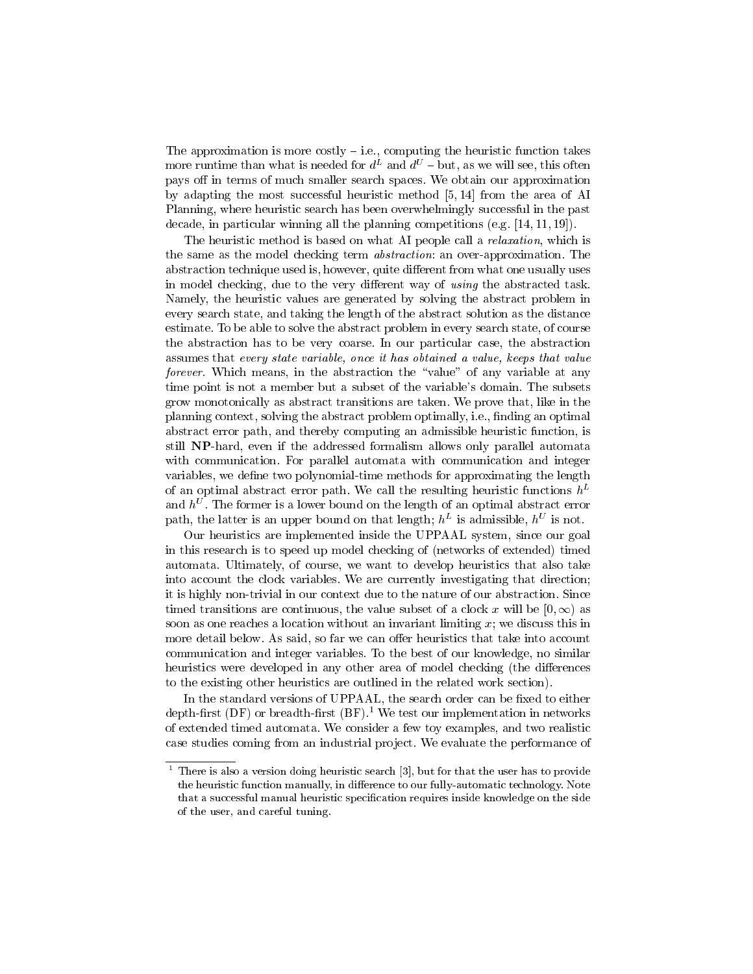The approximation is more costly  $-$  i.e., computing the heuristic function takes more runtime than what is needed for  $d^L$  and  $d^U$  – but, as we will see, this often pays off in terms of much smaller search spaces. We obtain our approximation by adapting the most successful heuristic method [5, 14] from the area of AI Planning, where heuristic search has been overwhelmingly successful in the past decade, in particular winning all the planning competitions (e.g. [14, 11, 19]).

The heuristic method is based on what AI people call a *relaxation*, which is the same as the model checking term abstraction: an over-approximation. The abstraction technique used is, however, quite different from what one usually uses in model checking, due to the very different way of using the abstracted task. Namely, the heuristic values are generated by solving the abstract problem in every search state, and taking the length of the abstract solution as the distance estimate. To be able to solve the abstract problem in every search state, of course the abstraction has to be very coarse. In our particular case, the abstraction assumes that every state variable, once it has obtained a value, keeps that value forever. Which means, in the abstraction the "value" of any variable at any time point is not a member but a subset of the variable's domain. The subsets grow monotonically as abstract transitions are taken. We prove that, like in the planning context, solving the abstract problem optimally, i.e., finding an optimal abstract error path, and thereby computing an admissible heuristic function, is still NP-hard, even if the addressed formalism allows only parallel automata with communication. For parallel automata with communication and integer variables, we define two polynomial-time methods for approximating the length of an optimal abstract error path. We call the resulting heuristic functions  $h^L$ and  $h^U$ . The former is a lower bound on the length of an optimal abstract error path, the latter is an upper bound on that length;  $h^L$  is admissible,  $h^U$  is not.

Our heuristics are implemented inside the UPPAAL system, since our goal in this research is to speed up model checking of (networks of extended) timed automata. Ultimately, of course, we want to develop heuristics that also take into account the clock variables. We are currently investigating that direction; it is highly non-trivial in our context due to the nature of our abstraction. Since timed transitions are continuous, the value subset of a clock x will be  $[0,\infty)$  as soon as one reaches a location without an invariant limiting  $x$ ; we discuss this in more detail below. As said, so far we can offer heuristics that take into account communication and integer variables. To the best of our knowledge, no similar heuristics were developed in any other area of model checking (the differences to the existing other heuristics are outlined in the related work section).

In the standard versions of UPPAAL, the search order can be fixed to either depth-first  $(DF)$  or breadth-first  $(BF)$ .<sup>1</sup> We test our implementation in networks of extended timed automata. We consider a few toy examples, and two realistic case studies coming from an industrial project. We evaluate the performance of

 $1$  There is also a version doing heuristic search [3], but for that the user has to provide the heuristic function manually, in difference to our fully-automatic technology. Note that a successful manual heuristic specification requires inside knowledge on the side of the user, and careful tuning.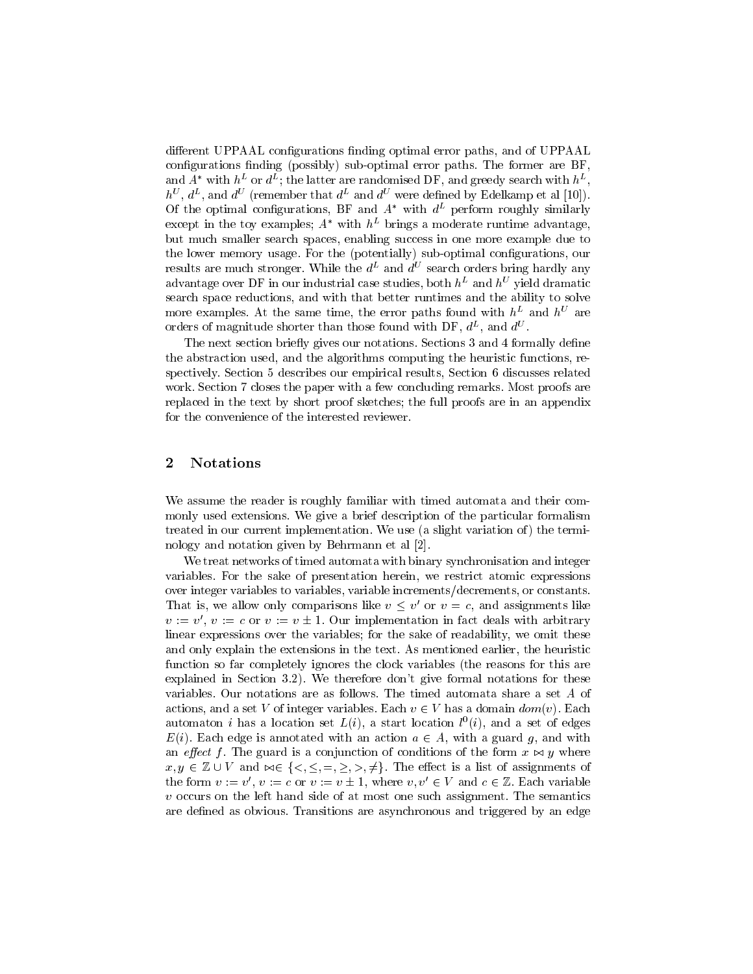different UPPAAL configurations finding optimal error paths, and of UPPAAL configurations finding (possibly) sub-optimal error paths. The former are BF, and  $\overrightarrow{A}^*$  with  $h^L$  or  $d^L$ ; the latter are randomised DF, and greedy search with  $h^L$ ,  $h^U, d^L$ , and  $d^U$  (remember that  $d^L$  and  $d^U$  were defined by Edelkamp et al [10]). Of the optimal configurations, BF and  $A^*$  with  $d^L$  perform roughly similarly except in the toy examples;  $A^*$  with  $h^L$  brings a moderate runtime advantage, but much smaller search spaces, enabling success in one more example due to the lower memory usage. For the (potentially) sub-optimal configurations, our results are much stronger. While the  $d^L$  and  $d^U$  search orders bring hardly any advantage over DF in our industrial case studies, both  $h^L$  and  $h^U$  yield dramatic search space reductions, and with that better runtimes and the ability to solve more examples. At the same time, the error paths found with  $h^L$  and  $h^U$  are orders of magnitude shorter than those found with DF,  $d^L$ , and  $d^U$ .

The next section briefly gives our notations. Sections 3 and 4 formally define the abstraction used, and the algorithms computing the heuristic functions, respectively. Section 5 describes our empirical results, Section 6 discusses related work. Section 7 closes the paper with a few concluding remarks. Most proofs are replaced in the text by short proof sketches; the full proofs are in an appendix for the convenience of the interested reviewer.

## 2 Notations

We assume the reader is roughly familiar with timed automata and their commonly used extensions. We give a brief description of the particular formalism treated in our current implementation. We use (a slight variation of) the terminology and notation given by Behrmann et al [2].

We treat networks of timed automata with binary synchronisation and integer variables. For the sake of presentation herein, we restrict atomic expressions over integer variables to variables, variable increments/decrements, or constants. That is, we allow only comparisons like  $v \leq v'$  or  $v = c$ , and assignments like  $v := v', v := c$  or  $v := v \pm 1$ . Our implementation in fact deals with arbitrary linear expressions over the variables; for the sake of readability, we omit these and only explain the extensions in the text. As mentioned earlier, the heuristic function so far completely ignores the clock variables (the reasons for this are explained in Section 3.2). We therefore don't give formal notations for these variables. Our notations are as follows. The timed automata share a set A of actions, and a set V of integer variables. Each  $v \in V$  has a domain  $dom(v)$ . Each automaton *i* has a location set  $L(i)$ , a start location  $l^0(i)$ , and a set of edges  $E(i)$ . Each edge is annotated with an action  $a \in A$ , with a guard g, and with an effect f. The guard is a conjunction of conditions of the form  $x \bowtie y$  where  $x, y \in \mathbb{Z} \cup V$  and  $\bowtie \in \{<,\leq,=,\geq,>,\neq\}$ . The effect is a list of assignments of the form  $v := v'$ ,  $v := c$  or  $v := v \pm 1$ , where  $v, v' \in V$  and  $c \in \mathbb{Z}$ . Each variable  $v$  occurs on the left hand side of at most one such assignment. The semantics are defined as obvious. Transitions are asynchronous and triggered by an edge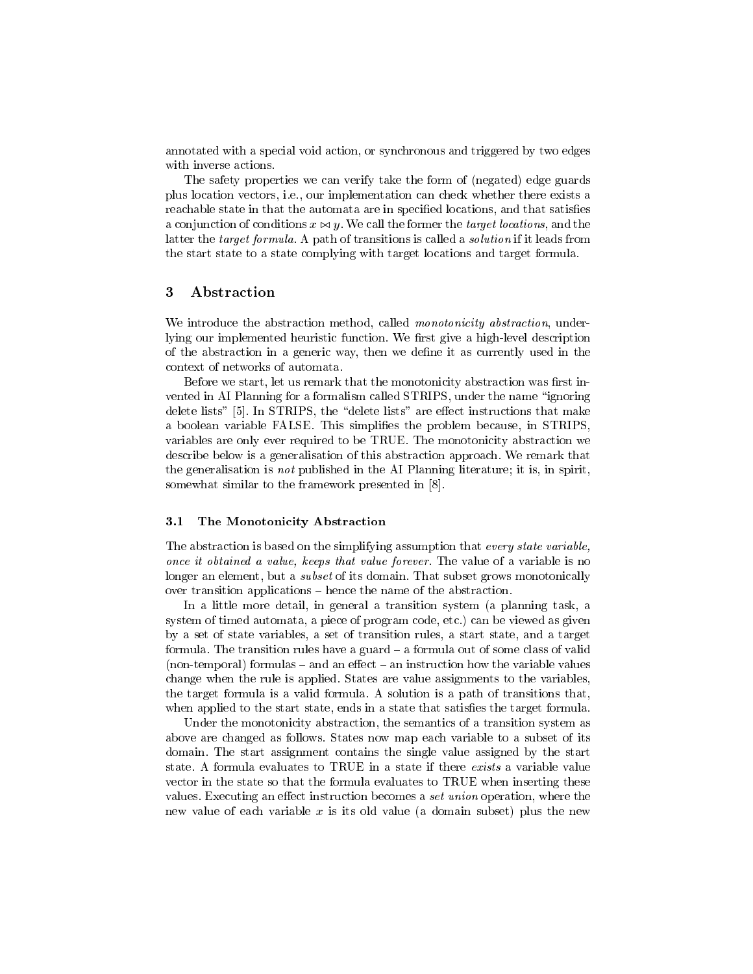annotated with a special void action, or synchronous and triggered by two edges with inverse actions.

The safety properties we can verify take the form of (negated) edge guards plus location vectors, i.e., our implementation can check whether there exists a reachable state in that the automata are in specified locations, and that satisfies a conjunction of conditions  $x \bowtie y$ . We call the former the *target locations*, and the latter the *target formula*. A path of transitions is called a *solution* if it leads from the start state to a state complying with target locations and target formula.

## 3 Abstraction

We introduce the abstraction method, called *monotonicity abstraction*, underlying our implemented heuristic function. We first give a high-level description of the abstraction in a generic way, then we dene it as currently used in the context of networks of automata.

Before we start, let us remark that the monotonicity abstraction was first invented in AI Planning for a formalism called STRIPS, under the name \ignoring delete lists" [5]. In STRIPS, the "delete lists" are effect instructions that make a boolean variable FALSE. This simplifies the problem because, in STRIPS, variables are only ever required to be TRUE. The monotonicity abstraction we describe below is a generalisation of this abstraction approach. We remark that the generalisation is not published in the AI Planning literature; it is, in spirit, somewhat similar to the framework presented in [8].

#### 3.1 The Monotonicity Abstraction

The abstraction is based on the simplifying assumption that every state variable, once it obtained a value, keeps that value forever. The value of a variable is no longer an element, but a *subset* of its domain. That subset grows monotonically over transition applications  $-$  hence the name of the abstraction.

In a little more detail, in general a transition system (a planning task, a system of timed automata, a piece of program code, etc.) can be viewed as given by a set of state variables, a set of transition rules, a start state, and a target formula. The transition rules have a guard  $-$  a formula out of some class of valid (non-temporal) formulas  $-$  and an effect  $-$  an instruction how the variable values change when the rule is applied. States are value assignments to the variables, the target formula is a valid formula. A solution is a path of transitions that, when applied to the start state, ends in a state that satisfies the target formula.

Under the monotonicity abstraction, the semantics of a transition system as above are changed as follows. States now map each variable to a subset of its domain. The start assignment contains the single value assigned by the start state. A formula evaluates to TRUE in a state if there exists a variable value vector in the state so that the formula evaluates to TRUE when inserting these values. Executing an effect instruction becomes a set union operation, where the new value of each variable x is its old value (a domain subset) plus the new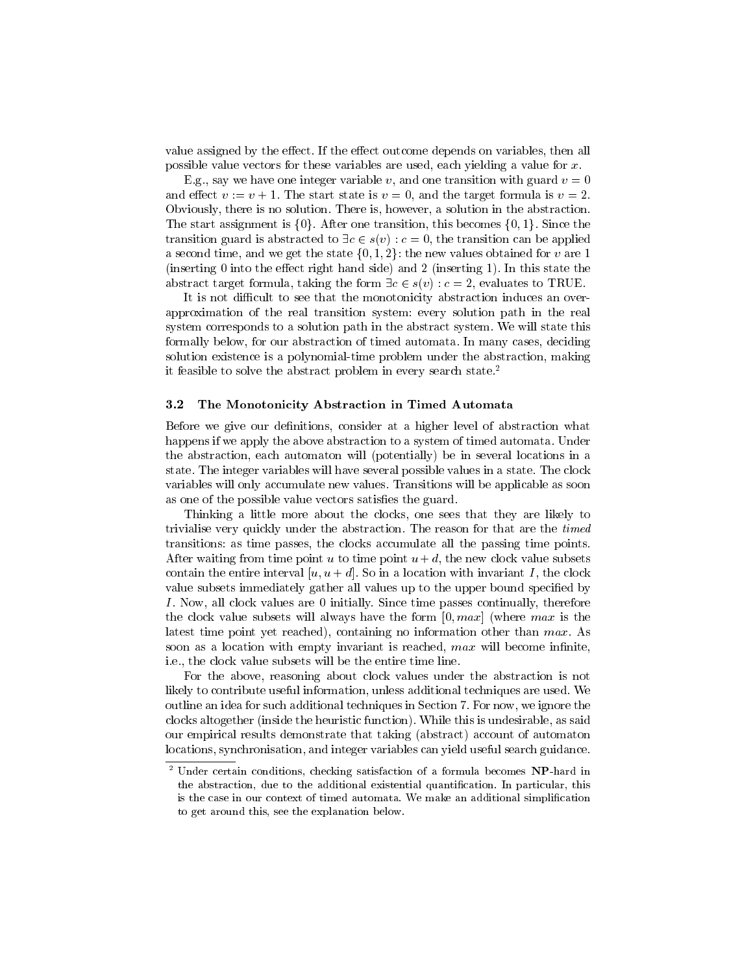value assigned by the effect. If the effect outcome depends on variables, then all possible value vectors for these variables are used, each yielding a value for x.

E.g., say we have one integer variable v, and one transition with guard  $v = 0$ and effect  $v := v + 1$ . The start state is  $v = 0$ , and the target formula is  $v = 2$ . Obviously, there is no solution. There is, however, a solution in the abstraction. The start assignment is  $\{0\}$ . After one transition, this becomes  $\{0, 1\}$ . Since the transition guard is abstracted to  $\exists c \in s(v) : c = 0$ , the transition can be applied a second time, and we get the state  $\{0, 1, 2\}$ : the new values obtained for v are 1 (inserting 0 into the effect right hand side) and 2 (inserting 1). In this state the abstract target formula, taking the form  $\exists c \in s(v) : c = 2$ , evaluates to TRUE.

It is not difficult to see that the monotonicity abstraction induces an overapproximation of the real transition system: every solution path in the real system corresponds to a solution path in the abstract system. We will state this formally below, for our abstraction of timed automata. In many cases, deciding solution existence is a polynomial-time problem under the abstraction, making it feasible to solve the abstract problem in every search state.<sup>2</sup>

#### 3.2 The Monotonicity Abstraction in Timed Automata

Before we give our definitions, consider at a higher level of abstraction what happens if we apply the above abstraction to a system of timed automata. Under the abstraction, each automaton will (potentially) be in several locations in a state. The integer variables will have several possible values in a state. The clock variables will only accumulate new values. Transitions will be applicable as soon as one of the possible value vectors satisfies the guard.

Thinking a little more about the clocks, one sees that they are likely to trivialise very quickly under the abstraction. The reason for that are the timed transitions: as time passes, the clocks accumulate all the passing time points. After waiting from time point u to time point  $u+d$ , the new clock value subsets contain the entire interval  $[u, u + d]$ . So in a location with invariant I, the clock value subsets immediately gather all values up to the upper bound specied by I. Now, all clock values are 0 initially. Since time passes continually, therefore the clock value subsets will always have the form  $[0, max]$  (where max is the latest time point yet reached), containing no information other than max. As soon as a location with empty invariant is reached,  $max$  will become infinite, i.e., the clock value subsets will be the entire time line.

For the above, reasoning about clock values under the abstraction is not likely to contribute useful information, unless additional techniques are used. We outline an idea for such additional techniques in Section 7. For now, we ignore the clocks altogether (inside the heuristic function). While this is undesirable, as said our empirical results demonstrate that taking (abstract) account of automaton locations, synchronisation, and integer variables can yield useful search guidance.

<sup>&</sup>lt;sup>2</sup> Under certain conditions, checking satisfaction of a formula becomes NP-hard in the abstraction, due to the additional existential quantification. In particular, this is the case in our context of timed automata. We make an additional simplification to get around this, see the explanation below.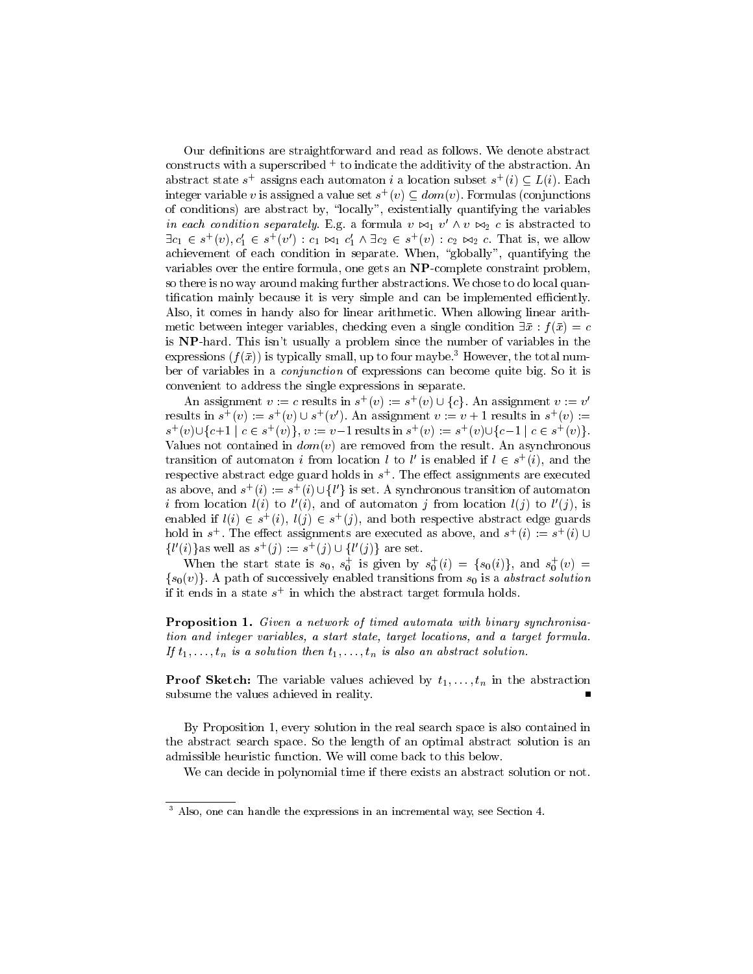Our definitions are straightforward and read as follows. We denote abstract constructs with a superscribed  $+$  to indicate the additivity of the abstraction. An abstract state  $s^+$  assigns each automaton i a location subset  $s^+(i) \subseteq L(i)$ . Each integer variable v is assigned a value set  $s^+(v) \subseteq dom(v)$ . Formulas (conjunctions of conditions) are abstract by, "locally", existentially quantifying the variables in each condition separately. E.g. a formula  $v \Join_1 v' \land v \Join_2 c$  is abstracted to  $\exists c_1 \in s^+(v), c'_1 \in s^+(v') : c_1 \bowtie_1 c'_1 \land \exists c_2 \in s^+(v) : c_2 \bowtie_2 c$ . That is, we allow achievement of each condition in separate. When, "globally", quantifying the variables over the entire formula, one gets an NP-complete constraint problem, so there is no way around making further abstractions. We chose to do local quantification mainly because it is very simple and can be implemented efficiently. Also, it comes in handy also for linear arithmetic. When allowing linear arithmetic between integer variables, checking even a single condition  $\exists \bar{x} : f(\bar{x}) = c$ is NP-hard. This isn't usually a problem since the number of variables in the expressions  $(f(\bar{x}))$  is typically small, up to four maybe.<sup>3</sup> However, the total number of variables in a conjunction of expressions can become quite big. So it is convenient to address the single expressions in separate.

An assignment  $v := c$  results in  $s^+(v) := s^+(v) \cup \{c\}$ . An assignment  $v := v'$ results in  $s^+(v) := s^+(v) \cup s^+(v')$ . An assignment  $v := v + 1$  results in  $s^+(v) :=$  $s^+(v) \cup \{c+1 \mid c \in s^+(v)\}, v := v-1$  results in  $s^+(v) := s^+(v) \cup \{c-1 \mid c \in s^+(v)\}.$ Values not contained in  $dom(v)$  are removed from the result. An asynchronous transition of automaton *i* from location *l* to *l'* is enabled if  $l \in s^+(i)$ , and the respective abstract edge guard holds in  $s^+$ . The effect assignments are executed as above, and  $s^+(i) := s^+(i) \cup \{l'\}$  is set. A synchronous transition of automaton i from location  $\tilde{l}(i)$  to  $\tilde{l}'(i)$ , and of automaton j from location  $\tilde{l}(j)$  to  $\tilde{l}'(j)$ , is enabled if  $l(i) \in s^+(i)$ ,  $l(j) \in s^+(j)$ , and both respective abstract edge guards hold in  $s^+$ . The effect assignments are executed as above, and  $s^+(i) := s^+(i) \cup$  ${l'(i)}$  as well as  $s^+(j) := s^+(j) \cup {l'(j)}$  are set.

When the start state is  $s_0$ ,  $s_0^{\dagger}$  is given by  $s_0^{\dagger}(i) = \{s_0(i)\}$ , and  $s_0^{\dagger}(v) =$  $\{s_0(v)\}\.$  A path of successively enabled transitions from  $s_0$  is a *abstract solution* if it ends in a state  $s^+$  in which the abstract target formula holds.

Proposition 1. Given a network of timed automata with binary synchronisation and integer variables, a start state, target locations, and a target formula. If  $t_1, \ldots, t_n$  is a solution then  $t_1, \ldots, t_n$  is also an abstract solution.

**Proof Sketch:** The variable values achieved by  $t_1, \ldots, t_n$  in the abstraction subsume the values achieved in reality.

By Proposition 1, every solution in the real search space is also contained in the abstract search space. So the length of an optimal abstract solution is an admissible heuristic function. We will come back to this below.

We can decide in polynomial time if there exists an abstract solution or not.

<sup>3</sup> Also, one can handle the expressions in an incremental way, see Section 4.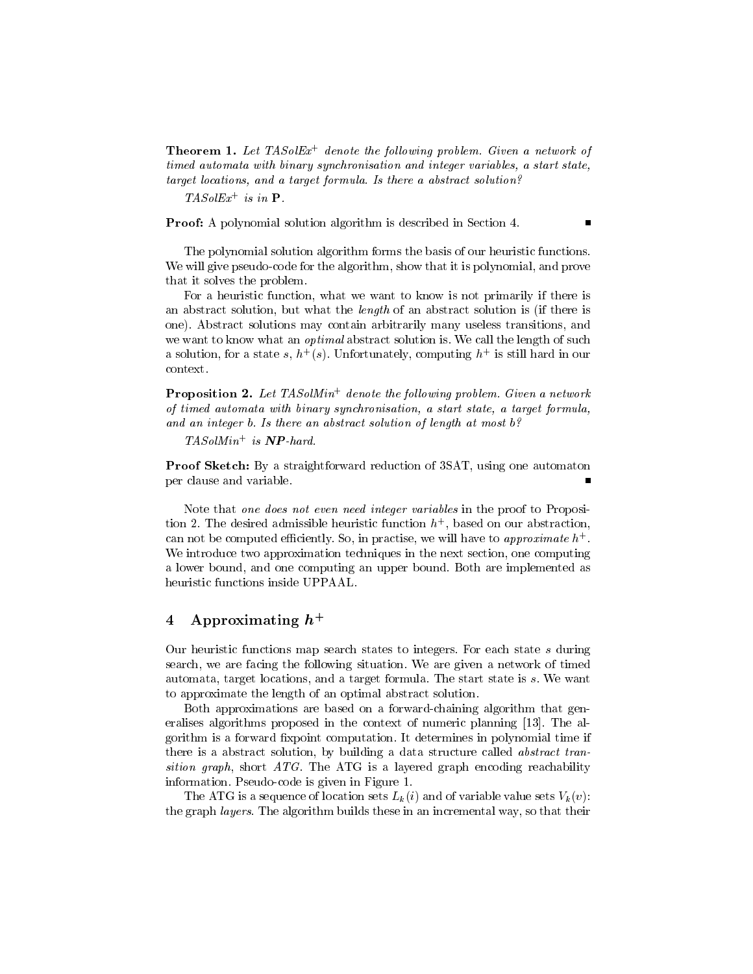**Theorem 1.** Let  $TASolEx<sup>+</sup>$  denote the following problem. Given a network of timed automata with binary synchronisation and integer variables, a start state, target locations, and a target formula. Is there a abstract solution?

 $TASolEx<sup>+</sup>$  is in  $\bf{P}$ .

Proof: A polynomial solution algorithm is described in Section 4.

 $\blacksquare$ 

The polynomial solution algorithm forms the basis of our heuristic functions. We will give pseudo-code for the algorithm, show that it is polynomial, and prove that it solves the problem.

For a heuristic function, what we want to know is not primarily if there is an abstract solution, but what the length of an abstract solution is (if there is one). Abstract solutions may contain arbitrarily many useless transitions, and we want to know what an *optimal* abstract solution is. We call the length of such a solution, for a state  $s, h^+(s)$ . Unfortunately, computing  $h^+$  is still hard in our context.

**Proposition 2.** Let TASolMin<sup>+</sup> denote the following problem. Given a network of timed automata with binary synchronisation, a start state, a target formula, and an integer b. Is there an abstract solution of length at most b?

 $TASolMin<sup>+</sup>$  is  $NP-hard$ .

Proof Sketch: By a straightforward reduction of 3SAT, using one automaton per clause and variable.

Note that one does not even need integer variables in the proof to Proposition 2. The desired admissible heuristic function  $h^+$ , based on our abstraction, can not be computed efficiently. So, in practise, we will have to approximate  $h^+$ . We introduce two approximation techniques in the next section, one computing a lower bound, and one computing an upper bound. Both are implemented as heuristic functions inside UPPAAL.

# 4 Approximating  $h^+$

Our heuristic functions map search states to integers. For each state  $s$  during search, we are facing the following situation. We are given a network of timed automata, target locations, and a target formula. The start state is s. We want to approximate the length of an optimal abstract solution.

Both approximations are based on a forward-chaining algorithm that generalises algorithms proposed in the context of numeric planning [13]. The algorithm is a forward fixpoint computation. It determines in polynomial time if there is a abstract solution, by building a data structure called abstract transition graph, short  $ATG$ . The ATG is a layered graph encoding reachability information. Pseudo-code is given in Figure 1.

The ATG is a sequence of location sets  $L_k(i)$  and of variable value sets  $V_k(v)$ : the graph layers. The algorithm builds these in an incremental way, so that their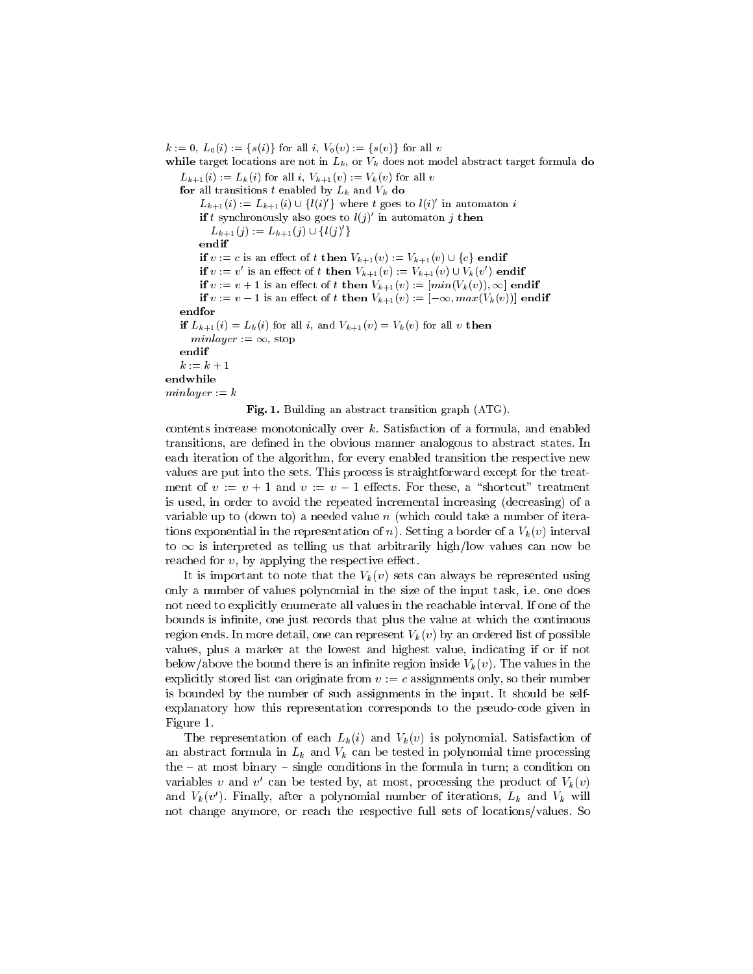$k := 0, L_0(i) := \{s(i)\}\$ for all  $i, V_0(v) := \{s(v)\}\$ for all v while target locations are not in  $L_k$ , or  $V_k$  does not model abstract target formula do  $L_{k+1}(i) := L_k(i)$  for all  $i, V_{k+1}(v) := V_k(v)$  for all v for all transitions t enabled by  $L_k$  and  $V_k$  do  $L_{k+1}(i) := L_{k+1}(i) \cup \{l(i)^{i}\}\$  where t goes to  $l(i)^{i}$  in automaton i if t synchronously also goes to  $l(j)$  in automaton j then  $L_{k+1}(j) := L_{k+1}(j) \cup \{l(j)'\}$ endif if  $v := c$  is an effect of t then  $V_{k+1}(v) := V_{k+1}(v) \cup \{c\}$  endif if  $v := v'$  is an effect of t then  $V_{k+1}(v) := V_{k+1}(v) \cup V_k(v')$  endif if  $v := v + 1$  is an effect of t then  $V_{k+1}(v) := [min(V_k(v)), \infty]$  endif if  $v := v - 1$  is an effect of t then  $V_{k+1}(v) := [-\infty, max(V_k(v))]$  endif endfor if  $L_{k+1}(i) = L_k(i)$  for all i, and  $V_{k+1}(v) = V_k(v)$  for all v then  $minlayer := \infty$ , stop endif  $k := k + 1$ endwhile  $minlayer := k$ 

Fig. 1. Building an abstract transition graph (ATG).

contents increase monotonically over k. Satisfaction of a formula, and enabled transitions, are defined in the obvious manner analogous to abstract states. In each iteration of the algorithm, for every enabled transition the respective new values are put into the sets. This process is straightforward except for the treatment of  $v := v + 1$  and  $v := v - 1$  effects. For these, a "shortcut" treatment is used, in order to avoid the repeated incremental increasing (decreasing) of a variable up to (down to) a needed value  $n$  (which could take a number of iterations exponential in the representation of n). Setting a border of a  $V_k(v)$  interval to  $\infty$  is interpreted as telling us that arbitrarily high/low values can now be reached for  $v$ , by applying the respective effect.

It is important to note that the  $V_k(v)$  sets can always be represented using only a number of values polynomial in the size of the input task, i.e. one does not need to explicitly enumerate all values in the reachable interval. If one of the bounds is infinite, one just records that plus the value at which the continuous region ends. In more detail, one can represent  $V_k(v)$  by an ordered list of possible values, plus a marker at the lowest and highest value, indicating if or if not below/above the bound there is an infinite region inside  $V_k(v)$ . The values in the explicitly stored list can originate from  $v := c$  assignments only, so their number is bounded by the number of such assignments in the input. It should be selfexplanatory how this representation corresponds to the pseudo-code given in Figure 1.

The representation of each  $L_k(i)$  and  $V_k(v)$  is polynomial. Satisfaction of an abstract formula in  $L_k$  and  $V_k$  can be tested in polynomial time processing  $the - at most binary - single conditions in the formula in turn; a condition on$ variables v and v' can be tested by, at most, processing the product of  $V_k(v)$ and  $V_k(v')$ . Finally, after a polynomial number of iterations,  $L_k$  and  $V_k$  will not change anymore, or reach the respective full sets of locations/values. So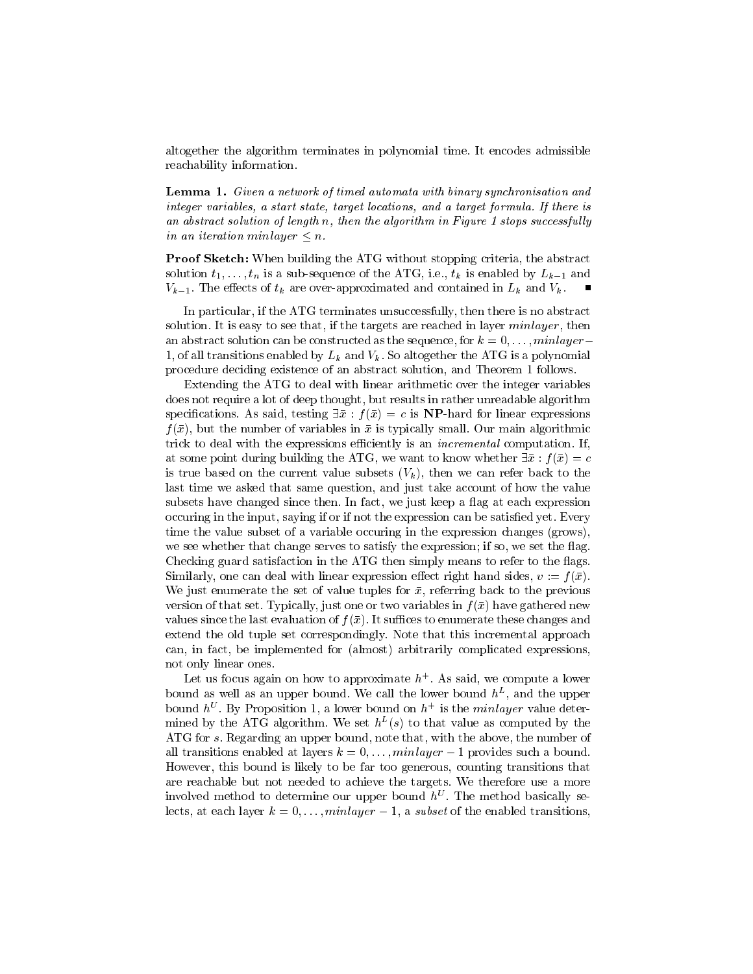altogether the algorithm terminates in polynomial time. It encodes admissible reachability information.

Lemma 1. Given a network of timed automata with binary synchronisation and integer variables, a start state, target locations, and a target formula. If there is an abstract solution of length n, then the algorithm in Figure 1 stops successfully in an iteration minlayer  $\leq n$ .

Proof Sketch: When building the ATG without stopping criteria, the abstract solution  $t_1, \ldots, t_n$  is a sub-sequence of the ATG, i.e.,  $t_k$  is enabled by  $L_{k-1}$  and  $V_{k-1}$ . The effects of  $t_k$  are over-approximated and contained in  $L_k$  and  $V_k$ .

In particular, if the ATG terminates unsuccessfully, then there is no abstract solution. It is easy to see that, if the targets are reached in layer  $minlayer$ , then an abstract solution can be constructed as the sequence, for  $k = 0, \ldots, minlayer-$ 1, of all transitions enabled by  $L_k$  and  $V_k$ . So altogether the ATG is a polynomial procedure deciding existence of an abstract solution, and Theorem 1 follows.

Extending the ATG to deal with linear arithmetic over the integer variables does not require a lot of deep thought, but results in rather unreadable algorithm specifications. As said, testing  $\exists \bar{x} : f(\bar{x}) = c$  is **NP**-hard for linear expressions  $f(\bar{x})$ , but the number of variables in  $\bar{x}$  is typically small. Our main algorithmic trick to deal with the expressions efficiently is an *incremental* computation. If, at some point during building the ATG, we want to know whether  $\exists \bar{x} : f(\bar{x}) = c$ is true based on the current value subsets  $(V_k)$ , then we can refer back to the last time we asked that same question, and just take account of how the value subsets have changed since then. In fact, we just keep a flag at each expression occuring in the input, saying if or if not the expression can be satisfied yet. Every time the value subset of a variable occuring in the expression changes (grows), we see whether that change serves to satisfy the expression; if so, we set the flag. Checking guard satisfaction in the ATG then simply means to refer to the flags. Similarly, one can deal with linear expression effect right hand sides,  $v := f(\bar{x})$ . We just enumerate the set of value tuples for  $\bar{x}$ , referring back to the previous version of that set. Typically, just one or two variables in  $f(\bar{x})$  have gathered new values since the last evaluation of  $f(\bar{x})$ . It suffices to enumerate these changes and extend the old tuple set correspondingly. Note that this incremental approach can, in fact, be implemented for (almost) arbitrarily complicated expressions, not only linear ones.

Let us focus again on how to approximate  $h^+$ . As said, we compute a lower bound as well as an upper bound. We call the lower bound  $h^L$ , and the upper bound  $h^U$ . By Proposition 1, a lower bound on  $h^+$  is the *minlayer* value determined by the ATG algorithm. We set  $h^L(s)$  to that value as computed by the ATG for s. Regarding an upper bound, note that, with the above, the number of all transitions enabled at layers  $k = 0, \ldots, minlayer - 1$  provides such a bound. However, this bound is likely to be far too generous, counting transitions that are reachable but not needed to achieve the targets. We therefore use a more involved method to determine our upper bound  $h^U$ . The method basically selects, at each layer  $k = 0, \ldots, minlayer - 1$ , a subset of the enabled transitions,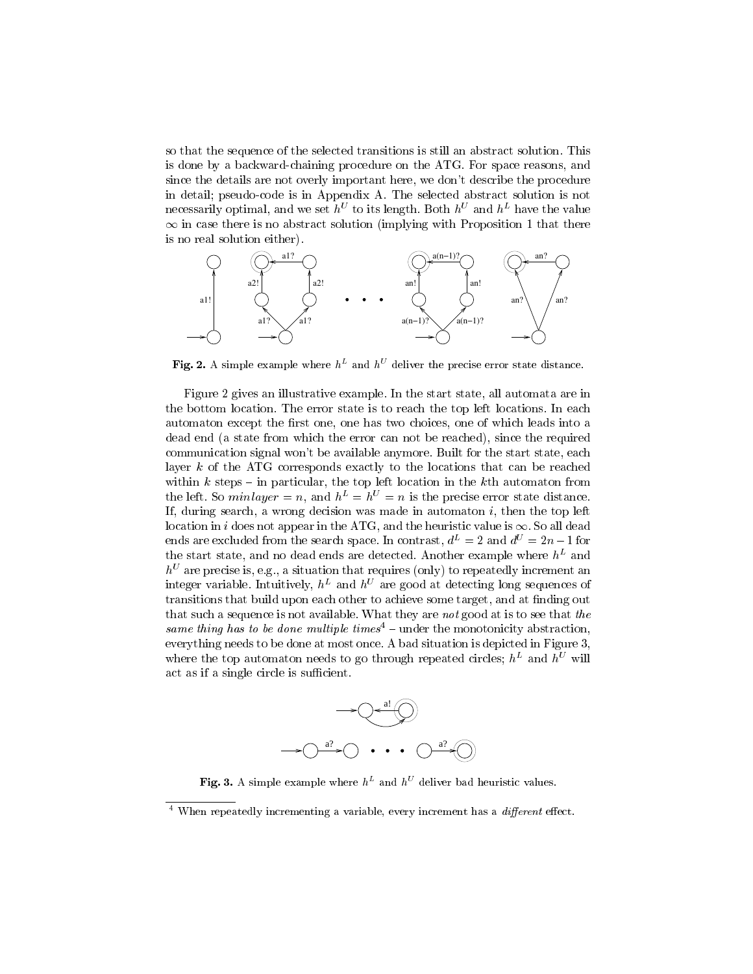so that the sequence of the selected transitions is still an abstract solution. This is done by a backward-chaining procedure on the ATG. For space reasons, and since the details are not overly important here, we don't describe the procedure in detail; pseudo-code is in Appendix A. The selected abstract solution is not necessarily optimal, and we set  $h^U$  to its length. Both  $h^U$  and  $h^L$  have the value  $\infty$  in case there is no abstract solution (implying with Proposition 1 that there is no real solution either).



Fig. 2. A simple example where  $h^L$  and  $h^U$  deliver the precise error state distance.

Figure 2 gives an illustrative example. In the start state, all automata are in the bottom location. The error state is to reach the top left locations. In each automaton except the first one, one has two choices, one of which leads into a dead end (a state from which the error can not be reached), since the required communication signal won't be available anymore. Built for the start state, each layer k of the ATG corresponds exactly to the locations that can be reached within  $k$  steps  $-$  in particular, the top left location in the  $k$ th automaton from the left. So minlayer = n, and  $h^L = h^U = n$  is the precise error state distance. If, during search, a wrong decision was made in automaton  $i$ , then the top left location in *i* does not appear in the ATG, and the heuristic value is  $\infty$ . So all dead ends are excluded from the search space. In contrast,  $d^L=2$  and  $d^U=2n-1$  for the start state, and no dead ends are detected. Another example where  $h^L$  and  $h^U$  are precise is, e.g., a situation that requires (only) to repeatedly increment an integer variable. Intuitively,  $h^L$  and  $h^U$  are good at detecting long sequences of transitions that build upon each other to achieve some target, and at finding out that such a sequence is not available. What they are not good at is to see that the same thing has to be done multiple times<sup>4</sup>  $-$  under the monotonicity abstraction, everything needs to be done at most once. A bad situation is depicted in Figure 3, where the top automaton needs to go through repeated circles;  $h^L$  and  $h^U$  will act as if a single circle is sufficient.



Fig. 3. A simple example where  $h^L$  and  $h^U$  deliver bad heuristic values.

 $4$  When repeatedly incrementing a variable, every increment has a *different* effect.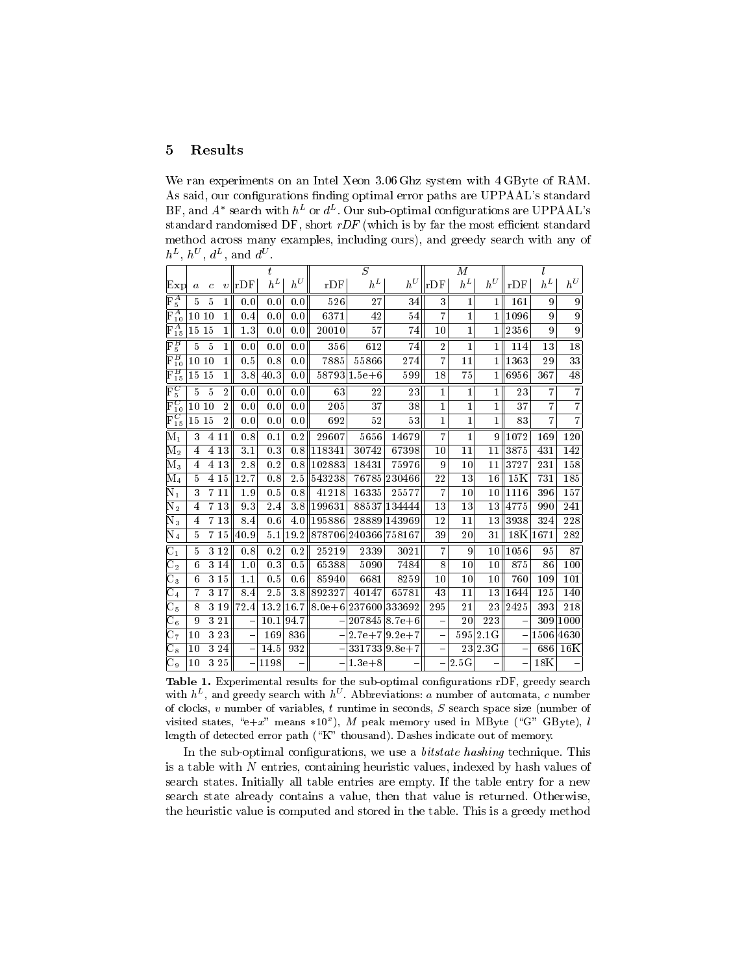# 5 Results

We ran experiments on an Intel Xeon 3.06 Ghz system with 4 GByte of RAM. As said, our configurations finding optimal error paths are UPPAAL's standard BF, and  $A^*$  search with  $h^L$  or  $d^L$ . Our sub-optimal configurations are UPPAAL's standard randomised DF, short  $rDF$  (which is by far the most efficient standard method across many examples, including ours), and greedy search with any of  $h^L$ ,  $h^U$ ,  $d^L$ , and  $d^U$ .

|                                    |                  |               |                     |      | t         |       | S                    |                 |              | М              |                         |              |      |           |                  |
|------------------------------------|------------------|---------------|---------------------|------|-----------|-------|----------------------|-----------------|--------------|----------------|-------------------------|--------------|------|-----------|------------------|
| Exp                                | $\boldsymbol{a}$ | $\mathfrak c$ | $\boldsymbol{\eta}$ | rDF  | $h^L$     | $h^U$ | rDF                  | $h^L$           | $h^U$        | rDF            | $ h^L $                 | $h^U$        | rDF  | $h^L$     | $h^U$            |
| $\mathop{\mathrm{F}}\nolimits_5^A$ | 5                | 5             | 1                   | 0.0  | 0.0       | 0.0   | 526                  | 27              | 34           | 3              | 1                       | 1            | 161  | 9         | 9                |
| $\overline{\mathrm{F}_{10}^{A}}$   | 10               | 10            | 1                   | 0.4  | 0.0       | 0.0   | 6371                 | 42              | 54           | $\overline{7}$ | $\mathbf{1}$            | $\mathbf{1}$ | 1096 | 9         | $\overline{9}$   |
| $\overline{\mathrm{F}_{15}^{A}}$   | 15 15            |               | 1                   | 1.3  | 0.0       | 0.0   | 20010                | 57              | 74           | 10             | 1                       | 1            | 2356 | 9         | $\overline{9}$   |
| $\mathop{\mathrm{F}}\nolimits^B_5$ | 5                | 5             | 1                   | 0.0  | 0.0       | 0.0   | 356                  | 612             | 74           | $\overline{2}$ | $\mathbf{1}$            | 1            | 114  | 13        | 18               |
| $\overline{\mathrm{F}_{10}^B}$     | 10 10            |               | 1                   | 0.5  | 0.8       | 0.0   | 7885                 | 55866           | 274          | $\overline{7}$ | 11                      | 1            | 1363 | 29        | $\overline{33}$  |
| $\overline{\mathrm{F}_{15}^B}$     | 15 15            |               | 1                   | 3.8  | 40.3      | 0.0   | 58793                | $1.5e + 6$      | 599          | 18             | 75                      | $\mathbf{1}$ | 6956 | 367       | 48               |
| $\overline{\mathrm{F}_5^C}$        | 5                | 5             | $\overline{2}$      | 0.0  | 0.0       | 0.0   | 63                   | 22              | 23           | $\mathbf{1}$   | 1                       | $\mathbf{1}$ | 23   | 7         | $\overline{7}$   |
| $\overline{\mathrm{F}_{10}^C}$     | 10               | 10            | $\overline{2}$      | 0.0  | 0.0       | 0.0   | 205                  | 37              | 38           | $\mathbf{1}$   | 1                       | 1            | 37   | 7         | $\overline{7}$   |
| $\overline{\mathrm{F}_{15}^C}$     | 15 15            |               | $\overline{2}$      | 0.0  | 0.0       | 0.0   | 692                  | 52              | 53           | $\overline{1}$ | $\overline{1}$          | 1            | 83   | 7         | $\overline{7}$   |
| $M_1$                              | 3                |               | 4 1 1               | 0.8  | 0.1       | 0.2   | 29607                | 5656            | 14679        | $\overline{7}$ | $\mathbf{1}$            | 9            | 1072 | 169       | 120              |
| $\rm M_2$                          | 4                |               | 4 1 3               | 3.1  | 0.3       | 0.8   | 118341               | 30742           | 67398        | 10             | 11                      | 11           | 3875 | 431       | 142              |
| $\rm M_{3}$                        | 4                |               | 4 1 3               | 2.8  | 0.2       | 0.8   | 102883               | 18431           | 75976        | 9              | 10                      | 11           | 3727 | 231       | 158              |
| $\rm M_4$                          | 5                |               | 4 15                | 12.7 | 0.8       | 2.5   | $\sqrt{543238}$      |                 | 76785 230466 | 22             | 13                      | 16           | 15K  | 731       | 185              |
| $\rm N_1$                          | 3                |               | 7 1 1               | 1.9  | 0.5       | 0.8   | 41218                | 16335           | 25577        | $\overline{7}$ | 10                      | 10           | 1116 | 396       | 157              |
| $\rm N_2$                          | $\overline{4}$   |               | 7 13                | 9.3  | 2.4       | 3.8   | 199631               | 88537           | 134444       | 13             | 13                      | 13           | 4775 | 990       | 241              |
| $\rm N_3$                          | 4                |               | 7 13                | 8.4  | 0.6       | 4.0   | 195886               |                 | 28889 143969 | 12             | 11                      | 13           | 3938 | 324       | 228              |
| $\rm N_4$                          | 5                |               | 7 15                | 40.9 | 5.1       | 19.2  | 878706 240366 758167 |                 |              | 39             | 20                      | 31           | 18K  | 1671      | $\overline{282}$ |
| $\overline{\text{C}_1}$            | 5                |               | 3 1 2               | 0.8  | 0.2       | 0.2   | 25219                | 2339            | 3021         | $\overline{7}$ | 9                       | 10           | 1056 | 95        | 87               |
| $\overline{\text{C}_2}$            | 6                |               | 3 1 4               | 1.0  | 0.3       | 0.5   | 65388                | 5090            | 7484         | 8              | 10                      | 10           | 875  | 86        | 100              |
| $\mathrm{C}_3$                     | 6                |               | 3 15                | 1.1  | 0.5       | 0.6   | 85940                | 6681            | 8259         | 10             | 10                      | 10           | 760  | 109       | 101              |
| $\overline{\text{C}_4}$            | 7                |               | 3 17                | 8.4  | 2.5       | 3.8   | 892327               | 40147           | 65781        | 43             | 11                      | 13           | 1644 | 125       | 140              |
| $\overline{\mathrm{C}_5}$          | 8                |               | 3 1 9               | 72.4 | 13.2 16.7 |       | 8.0e+6 237600 333692 |                 |              | 295            | 21                      | 23           | 2425 | 393       | 218              |
| $\mathrm{C}_6$                     | 9                |               | 3 21                |      | 10.1 94.7 |       |                      | $2078458.7e+6$  |              |                | 20                      | 223          |      |           | 309 1000         |
| $\rm{C}_7$                         | 10               |               | 3 2 3               |      | 169       | 836   |                      | $2.7e+79.2e+7$  |              |                | 595                     | 2.1G         |      | 1506 4630 |                  |
| $\overline{\mathrm{C}_8}$          | 10               |               | 324                 |      | 14.5      | 932   |                      | $331733 9.8e+7$ |              |                |                         | 23 2.3G      |      | 686       | 16K              |
| $\overline{\mathrm{C}_9}$          | 10               |               | 3 25                |      | 1198      |       |                      | $ 1.3e+8$       |              | $\overline{a}$ | $ 2.5\overline{\rm G} $ |              |      | 18K       |                  |

Table 1. Experimental results for the sub-optimal configurations rDF, greedy search with  $h^L$ , and greedy search with  $h^U$ . Abbreviations: a number of automata, c number of clocks, v number of variables, t runtime in seconds, S search space size (number of visited states, "e+x" means \*10<sup>x</sup>), M peak memory used in MByte ("G" GByte), l length of detected error path ("K" thousand). Dashes indicate out of memory.

In the sub-optimal configurations, we use a *bitstate hashing* technique. This is a table with  $N$  entries, containing heuristic values, indexed by hash values of search states. Initially all table entries are empty. If the table entry for a new search state already contains a value, then that value is returned. Otherwise, the heuristic value is computed and stored in the table. This is a greedy method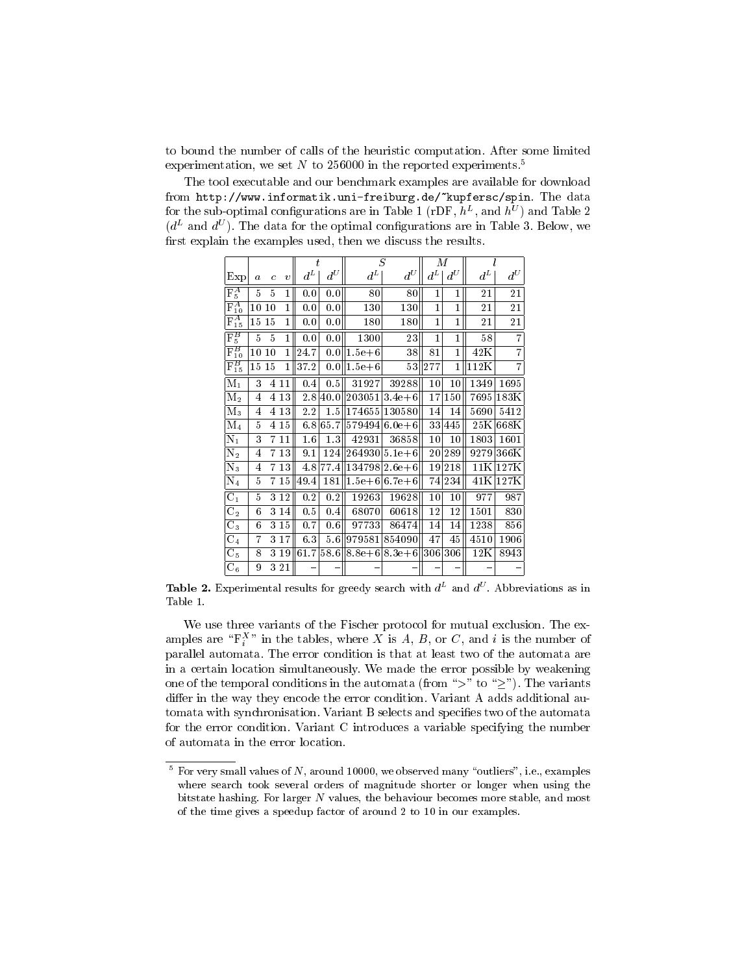to bound the number of calls of the heuristic computation. After some limited experimentation, we set N to 256000 in the reported experiments.<sup>5</sup>

The tool executable and our benchmark examples are available for download from http://www.informatik.uni-freiburg.de/~kupfersc/spin. The data for the sub-optimal configurations are in Table 1 (rDF,  $h^L$ , and  $h^U$ ) and Table 2  $(d^L \text{ and } d^U)$ . The data for the optimal configurations are in Table 3. Below, we first explain the examples used, then we discuss the results.

|                                  |                  |                |                   |       | t                  | S          |                        | М              |                        |                  |                        |
|----------------------------------|------------------|----------------|-------------------|-------|--------------------|------------|------------------------|----------------|------------------------|------------------|------------------------|
| Exp                              | $\boldsymbol{a}$ | $\overline{c}$ | $\boldsymbol{v}$  | $d^L$ | $\boldsymbol{d}^U$ | $d^L$      | $d^{\hspace{0.5pt} U}$ | $d^L$          | $d^{\hspace{0.5pt} U}$ | $d^L$            | $d^{\hspace{0.5pt} U}$ |
| $\overline{\mathrm{F}_5^A}$      | 5                | 5              | $\overline{1}$    | 0.0   | 0.0                | 80         | 80                     | $\mathbf{1}$   | $\mathbf{1}$           | 21               | 21                     |
| $\overline{\mathrm{F}_{10}^A}$   | 10               | 10             | $\mathbf{1}$      | 0.0   | 0.0                | 130        | 130                    | $\overline{1}$ | 1                      | 21               | 21                     |
| $\overline{\mathrm{F}_{15}^{A}}$ | 15               | 15             | $\overline{1}$    | 0.0   | 0.0                | 180        | 180                    | $\overline{1}$ | $\mathbf{1}$           | 21               | 21                     |
| $\overline{\mathrm{F}_5^B}$      | 5                | 5              | 1                 | 0.0   | 0.0                | 1300       | 23                     | 1              | $\mathbf{1}$           | 58               | $\overline{7}$         |
| $\overline{\mathrm{F}_{10}^B}$   | $10\,$           | 10             | 1                 | 24.7  | 0.0                | $1.5e + 6$ | 38                     | 81             | $\mathbf{1}$           | 42K              | $\overline{7}$         |
| $\overline{\mathrm{F}}_{15}^B$   | 15               | 15             | 1                 | 37.2  | 0.0                | $1.5e + 6$ | 53                     | 277            | 1                      | 112K             | $\overline{7}$         |
| $M_1$                            | 3                |                | 4 1 1             | 0.4   | 0.5                | 31927      | 39288                  | 10             | 10                     | 1349             | 1695                   |
| M <sub>2</sub>                   | 4                |                | 4 1 3             | 2.8   | 40.0               | 203051     | $3.4e + 6$             | 17             | 150                    | 7695             | 183K                   |
| $M_3$                            | 4                |                | 4 1 3             | 2.2   | 1.5                | 174655     | 130580                 | 14             | 14                     | 5690             | 5412                   |
| $\rm M_4$                        | 5                |                | 4 15              |       | 6.8 65.7           |            | $579494 6.0e+6$        | 33             | 445                    | 25K              | 668K                   |
| $\rm N_1$                        | 3                |                | 7 11              | 1.6   | 1.3                | 42931      | 36858                  | $10\,$         | 10                     | 1803             | 1601                   |
| $\mathrm{N}_2$                   | 4                |                | 7 1 3             | 9.1   | 124                | 264930     | $5.1e + 6$             | $^{20}$        | 289                    | 9279             | 366K                   |
| $\rm N_3$                        | 4                |                | 7 1 3             | 4.8   | 77.4               |            | $134798 2.6e+6$        | 19             | 218                    |                  | 11K 127K               |
| $\rm N_4$                        | 5                |                | 7 15              | 49.4  | 181                | $1.5e + 6$ | $6.7e + 6$             | 74             | 234                    | 41K              | 127K                   |
| $\mathrm{C}_1$                   | 5                |                | 3 1 2             | 0.2   | 0.2                | 19263      | 19628                  | $10\,$         | 10                     | 977              | 987                    |
| $\overline{\text{C}_2}$          | 6                |                | 3 1 4             | 0.5   | 0.4                | 68070      | 60618                  | 12             | 12                     | 1501             | 830                    |
| $C_3$                            | 6                |                | 3 15              | 0.7   | 0.6                | 97733      | 86474                  | 14             | 14                     | 1238             | 856                    |
| $\mathrm{C}_4$                   | 7                |                | 3 17              | 63    | 5.6                | 979581     | 854090                 | 47             | 45                     | 4510             | 1906                   |
| C <sub>5</sub>                   | 8                |                | $\overline{3}$ 19 |       | 61.758.6           | $8.8e + 6$ | $8.3e + 6$             |                | 306 306                | $\overline{1}2K$ | 8943                   |
| $\mathrm{C}_6$                   | 9                |                | 3 21              |       |                    |            |                        |                |                        |                  |                        |

Table 2. Experimental results for greedy search with  $d^L$  and  $d^U$ . Abbreviations as in Table 1.

We use three variants of the Fischer protocol for mutual exclusion. The examples are " $F_i^{X}$ " in the tables, where X is A, B, or C, and i is the number of parallel automata. The error condition is that at least two of the automata are in a certain location simultaneously. We made the error possible by weakening one of the temporal conditions in the automata (from " $>$ " to " $>$ "). The variants differ in the way they encode the error condition. Variant A adds additional automata with synchronisation. Variant B selects and specifies two of the automata for the error condition. Variant C introduces a variable specifying the number of automata in the error location.

 $5$  For very small values of N, around 10000, we observed many "outliers", i.e., examples where search took several orders of magnitude shorter or longer when using the bitstate hashing. For larger N values, the behaviour becomes more stable, and most of the time gives a speedup factor of around 2 to 10 in our examples.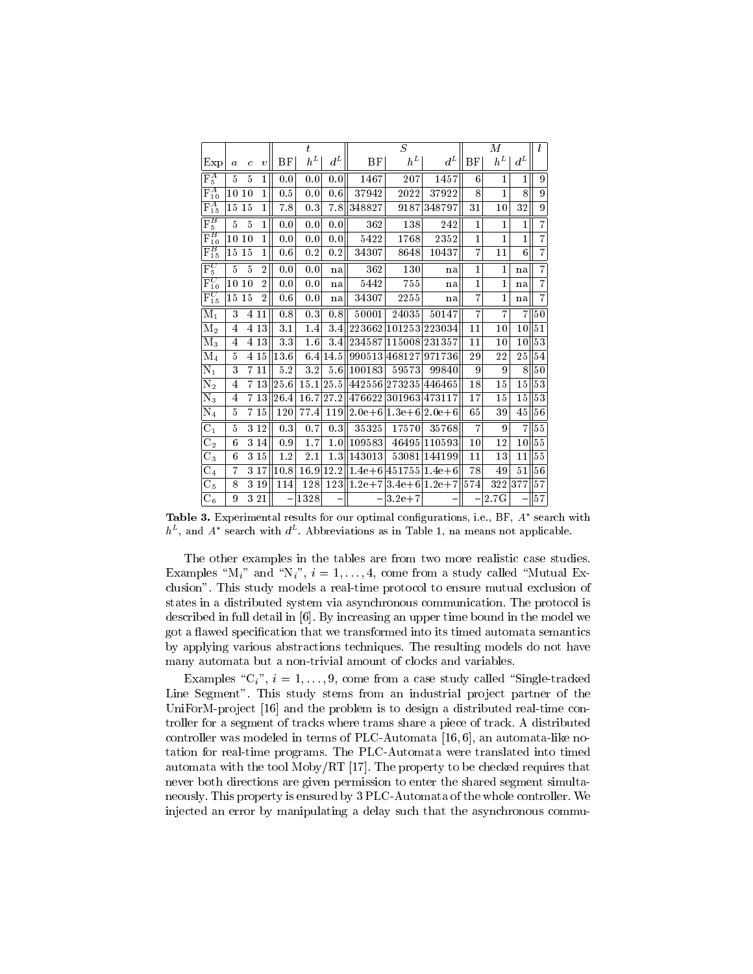|                                       |                  |                |                  |      | $\overline{t}$ |                   |                 | $\overline{S}$                 |                   |                | $\boldsymbol{M}$ |                   | L               |
|---------------------------------------|------------------|----------------|------------------|------|----------------|-------------------|-----------------|--------------------------------|-------------------|----------------|------------------|-------------------|-----------------|
| Exp                                   | $\boldsymbol{a}$ | $\overline{c}$ | $\boldsymbol{v}$ | ΒF   | $h^L$          | $d^{\mathcal{L}}$ | BF              | $h^L$                          | $d^{\mathcal{L}}$ | ΒF             | $h^L$            | $d^{\mathcal{L}}$ |                 |
| $\mathop{\rm F{}}\nolimits^A_5$       | 5                | 5              | 1                | 0.0  | 0.0            | 0.0               | 1467            | 207                            | 1457              | 6              | 1                | $\mathbf{1}$      | 9               |
| $\mathop{\mathrm{F}}\nolimits_{10}^A$ | 10               | 10             | 1                | 0.5  | 0.0            | 0.6               | 37942           | 2022                           | 37922             | 8              | $\mathbf{1}$     | 8                 | $\overline{9}$  |
| $\mathrm{F}_{15}^{A}$                 | 15               | 15             | $\overline{1}$   | 7.8  | 0.3            | 7.8               | 348827          | 9187                           | 348797            | 31             | 10               | 32                | $\overline{9}$  |
| $\mathop{\rm F{}}\nolimits^B_5$       | 5                | 5              | $\overline{1}$   | 0.0  | 0.0            | 0.0               | 362             | 138                            | 242               | $\mathbf{1}$   | 1                | $\mathbf{1}$      | $\overline{7}$  |
| $\mathrm{F}_{10}^B$                   | 10               | 10             | $\overline{1}$   | 0.0  | 0.0            | 0.0               | 5422            | 1768                           | 2352              | $\mathbf{1}$   | 1                | $\mathbf{1}$      | $\overline{7}$  |
| ${\rm F}_{15}^B$                      | 15               | 15             | 1                | 0.6  | 0.2            | 0.2               | 34307           | 8648                           | 10437             | $\overline{7}$ | 11               | 6                 | $\overline{7}$  |
| $\mathop{\rm F{}}\nolimits^C_5$       | 5                | 5              | $\overline{2}$   | 0.0  | 0.0            | na                | 362             | 130                            | na                | $\mathbf{1}$   | $\mathbf{1}$     | na                | $\overline{7}$  |
| $\mathrm{F}_{10}^C$                   | 10               | 10             | $\overline{2}$   | 0.0  | 0.0            | na                | 5442            | 755                            | na                | 1              | $\mathbf{1}$     | na                | $\overline{7}$  |
| $\mathrm{F}_{15}^C$                   | 15               | 15             | $\overline{2}$   | 0.6  | 0.0            | na                | 34307           | 2255                           | na                | $\overline{7}$ | $\mathbf{1}$     | na                | $\overline{7}$  |
| $M_1$                                 | 3                |                | 4 1 1            | 0.8  | 0.3            | 0.8               | 50001           | 24035                          | 50147             | $\overline{7}$ | $\overline{7}$   | $\overline{7}$    | 50              |
| $M_2$                                 | 4                |                | 4 1 3            | 3.1  | 1.4            | 3.4               | 223662          |                                | 101253 223034     | 11             | 10               | 10                | 51              |
| $M_3$                                 | 4                |                | 4 1 3            | 3.3  | 1.6            | 3.4               | 234587          | 115008 231357                  |                   | 11             | 10               | 10                | 53              |
| $\rm M_4$                             | 5                |                | 4 1 5            | 13.6 | 6.4            | 14.5              | 990513          | 468127                         | 971736            | 29             | 22               | 25                | 54              |
| $N_1$                                 | 3                |                | 7 1 1            | 5.2  | 3.2            | 5.6               | 100183          | 59573                          | 99840             | 9              | 9                | 8                 | $\overline{50}$ |
| $\rm N_2$                             | $\overline{4}$   |                | 7 1 3            | 25.6 | 15.1           | 25.5              |                 | 442556 273235 446465           |                   | 18             | 15               | 15                | 53              |
| $\mathrm{N}_3$                        | 4                |                | 7 1 3            | 26.4 | 16.7           | 27.2              |                 | 476622 301963 473117           |                   | 17             | 15               | 15                | 53              |
| $N_4$                                 | 5                |                | 7 1 5            | 120  | 77.4           | 119               |                 | $2.0e+6$   1.3e + 6   2.0e + 6 |                   | 65             | 39               | 45                | 56              |
| $\overline{C_1}$                      | 5                |                | 3 1 2            | 0.3  | 0.7            | 0.3               | 35325           | 17570                          | 35768             | $\overline{7}$ | 9                | $\overline{7}$    | $\overline{55}$ |
| $\mathrm{C}_2$                        | 6                |                | 3 1 4            | 0.9  | 1.7            | 1.0               | 109583          |                                | 46495 110593      | 10             | 12               | 10                | 55              |
| $C_3$                                 | 6                |                | 3 1 5            | 1.2  | 2.1            | 1.3               | 143013          | 53081                          | 144199            | 11             | 13               | 11                | 55              |
| C <sub>4</sub>                        | 7                |                | 3 1 7            | 10.8 | 16.9           | 12.2              | $1.4e+6$ 451755 |                                | $1.4e + 6$        | 78             | 49               | 51                | 56              |
| $\mathrm{C}_5$                        | 8                |                | 3 1 9            | 114  | 128            | 123               |                 | $1.2e+7$ 3.4e + 6   1.2e + 7   |                   | 574            | 322              | 377               | 57              |
| $C_6$                                 | 9                |                | 3 2 1            |      | 1328           |                   |                 | $3.2e + 7$                     |                   |                | 2.7G             |                   | 57              |

Table 3. Experimental results for our optimal configurations, i.e.,  $BF, A^*$  search with  $h^L$ , and  $A^*$  search with  $d^L$ . Abbreviations as in Table 1, na means not applicable.

The other examples in the tables are from two more realistic case studies. Examples " $M_i$ " and " $N_i$ ",  $i = 1, ..., 4$ , come from a study called "Mutual Exclusion". This study models a real-time protocol to ensure mutual exclusion of states in a distributed system via asynchronous communication. The protocol is described in full detail in [6]. By increasing an upper time bound in the model we got a 
awed specication that we transformed into its timed automata semantics by applying various abstractions techniques. The resulting models do not have many automata but a non-trivial amount of clocks and variables.

Examples " $C_i$ ",  $i = 1, ..., 9$ , come from a case study called "Single-tracked" Line Segment". This study stems from an industrial project partner of the UniForM-project [16] and the problem is to design a distributed real-time controller for a segment of tracks where trams share a piece of track. A distributed controller was modeled in terms of PLC-Automata [16, 6], an automata-like notation for real-time programs. The PLC-Automata were translated into timed automata with the tool Moby/RT [17]. The property to be checked requires that never both directions are given permission to enter the shared segment simultaneously. This property is ensured by 3 PLC-Automata of the whole controller. We injected an error by manipulating a delay such that the asynchronous commu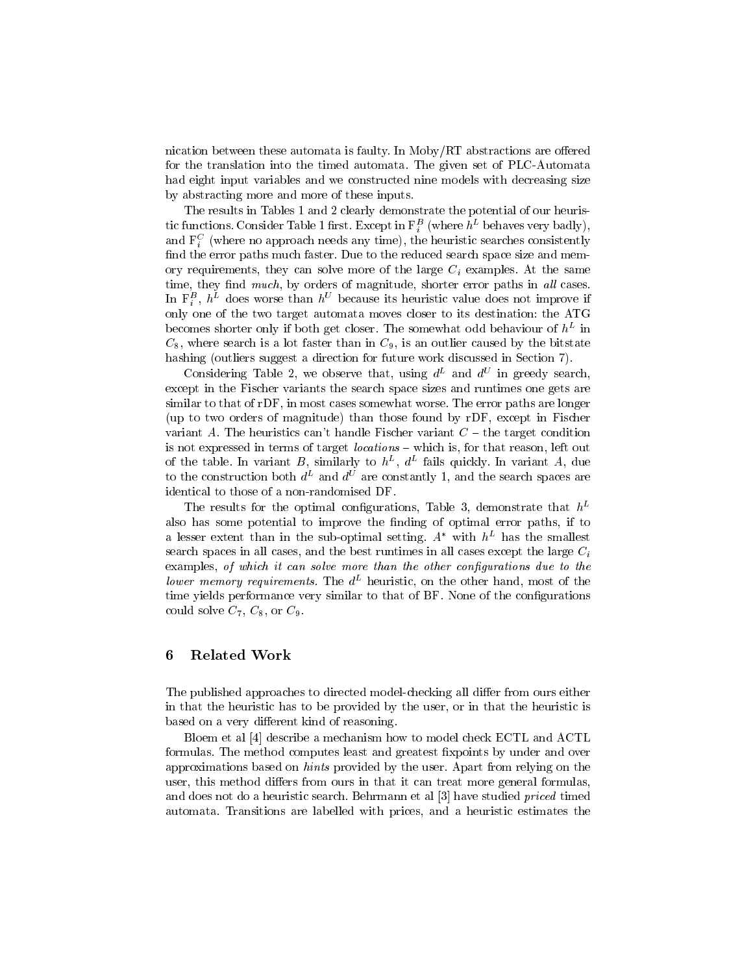nication between these automata is faulty. In Moby/ $RT$  abstractions are offered for the translation into the timed automata. The given set of PLC-Automata had eight input variables and we constructed nine models with decreasing size by abstracting more and more of these inputs.

The results in Tables 1 and 2 clearly demonstrate the potential of our heuristic functions. Consider Table 1 first. Except in  $\mathcal{F}^B_i$  (where  $h^L$  behaves very badly), and  $\mathrm{F}^C_i$  (where no approach needs any time), the heuristic searches consistently find the error paths much faster. Due to the reduced search space size and memory requirements, they can solve more of the large  $C_i$  examples. At the same time, they find much, by orders of magnitude, shorter error paths in all cases. In  $F_i^B$ ,  $h^L$  does worse than  $h^U$  because its heuristic value does not improve if only one of the two target automata moves closer to its destination: the ATG becomes shorter only if both get closer. The somewhat odd behaviour of  $h^L$  in  $C_8$ , where search is a lot faster than in  $C_9$ , is an outlier caused by the bitstate hashing (outliers suggest a direction for future work discussed in Section 7).

Considering Table 2, we observe that, using  $d^L$  and  $d^U$  in greedy search, except in the Fischer variants the search space sizes and runtimes one gets are similar to that of rDF, in most cases somewhat worse. The error paths are longer (up to two orders of magnitude) than those found by rDF, except in Fischer variant A. The heuristics can't handle Fischer variant  $C$  – the target condition is not expressed in terms of target  $locations$  - which is, for that reason, left out of the table. In variant B, similarly to  $h^L$ ,  $d^L$  fails quickly. In variant A, due to the construction both  $d^L$  and  $d^U$  are constantly 1, and the search spaces are identical to those of a non-randomised DF.

The results for the optimal configurations, Table 3, demonstrate that  $h^L$ also has some potential to improve the finding of optimal error paths, if to a lesser extent than in the sub-optimal setting.  $A^*$  with  $h^L$  has the smallest search spaces in all cases, and the best runtimes in all cases except the large  $C_i$ examples, of which it can solve more than the other configurations due to the lower memory requirements. The  $d^L$  heuristic, on the other hand, most of the time yields performance very similar to that of BF. None of the configurations could solve  $C_7$ ,  $C_8$ , or  $C_9$ .

## 6 Related Work

The published approaches to directed model-checking all differ from ours either in that the heuristic has to be provided by the user, or in that the heuristic is based on a very different kind of reasoning.

Bloem et al [4] describe a mechanism how to model check ECTL and ACTL formulas. The method computes least and greatest fixpoints by under and over approximations based on hints provided by the user. Apart from relying on the user, this method differs from ours in that it can treat more general formulas. and does not do a heuristic search. Behrmann et al [3] have studied priced timed automata. Transitions are labelled with prices, and a heuristic estimates the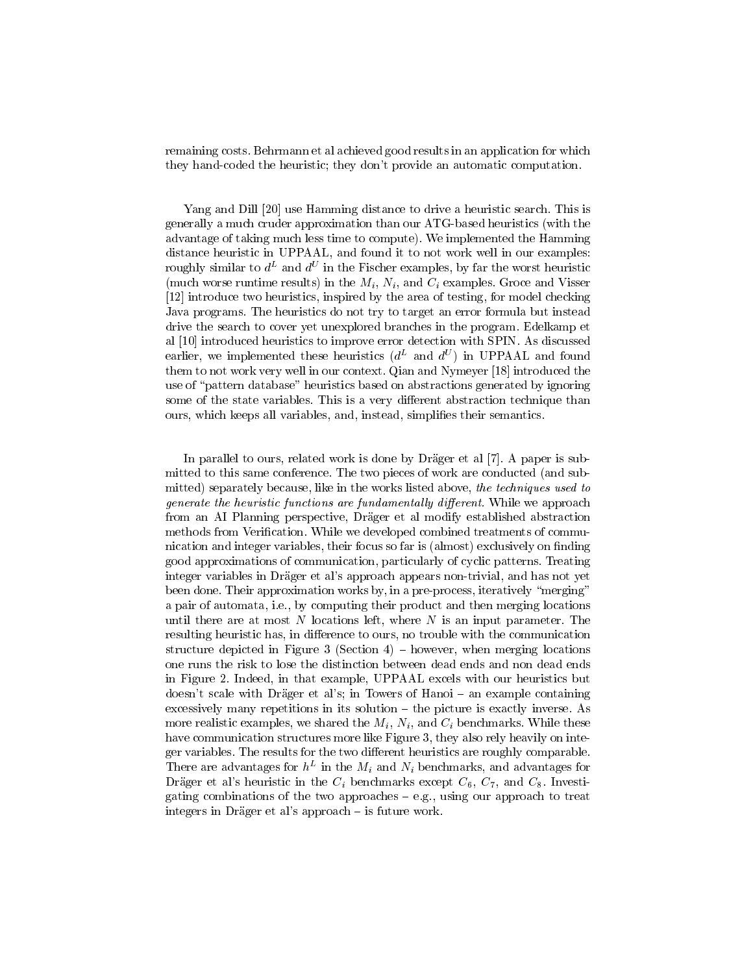remaining costs. Behrmann et al achieved good results in an application for which they hand-coded the heuristic; they don't provide an automatic computation.

Yang and Dill [20] use Hamming distance to drive a heuristic search. This is generally a much cruder approximation than our ATG-based heuristics (with the advantage of taking much less time to compute). We implemented the Hamming distance heuristic in UPPAAL, and found it to not work well in our examples: roughly similar to  $d^L$  and  $d^U$  in the Fischer examples, by far the worst heuristic (much worse runtime results) in the  $M_i$ ,  $N_i$ , and  $C_i$  examples. Groce and Visser [12] introduce two heuristics, inspired by the area of testing, for model checking Java programs. The heuristics do not try to target an error formula but instead drive the search to cover yet unexplored branches in the program. Edelkamp et al [10] introduced heuristics to improve error detection with SPIN. As discussed earlier, we implemented these heuristics  $(d^L \text{ and } d^U)$  in UPPAAL and found them to not work very well in our context. Qian and Nymeyer [18] introduced the use of "pattern database" heuristics based on abstractions generated by ignoring some of the state variables. This is a very different abstraction technique than ours, which keeps all variables, and, instead, simplifies their semantics.

In parallel to ours, related work is done by Dräger et al [7]. A paper is submitted to this same conference. The two pieces of work are conducted (and submitted) separately because, like in the works listed above, the techniques used to generate the heuristic functions are fundamentally different. While we approach from an AI Planning perspective, Drager et al modify established abstraction methods from Verification. While we developed combined treatments of communication and integer variables, their focus so far is (almost) exclusively on finding good approximations of communication, particularly of cyclic patterns. Treating integer variables in Dräger et al's approach appears non-trivial, and has not yet been done. Their approximation works by, in a pre-process, iteratively \merging" a pair of automata, i.e., by computing their product and then merging locations until there are at most  $N$  locations left, where  $N$  is an input parameter. The resulting heuristic has, in difference to ours, no trouble with the communication structure depicted in Figure 3 (Section 4)  $-$  however, when merging locations one runs the risk to lose the distinction between dead ends and non dead ends in Figure 2. Indeed, in that example, UPPAAL excels with our heuristics but  $\text{doesn't scale with Dräger et al's; in Towers of Hanoi - an example containing}$ excessively many repetitions in its solution  $-$  the picture is exactly inverse. As more realistic examples, we shared the  $M_i,\,N_i,$  and  $C_i$  benchmarks. While these have communication structures more like Figure 3, they also rely heavily on integer variables. The results for the two different heuristics are roughly comparable. There are advantages for  $h^L$  in the  $M_i$  and  $N_i$  benchmarks, and advantages for Dräger et al's heuristic in the  $C_i$  benchmarks except  $C_6$ ,  $C_7$ , and  $C_8$ . Investigating combinations of the two approaches  $-$  e.g., using our approach to treat integers in Dräger et al's approach  $-$  is future work.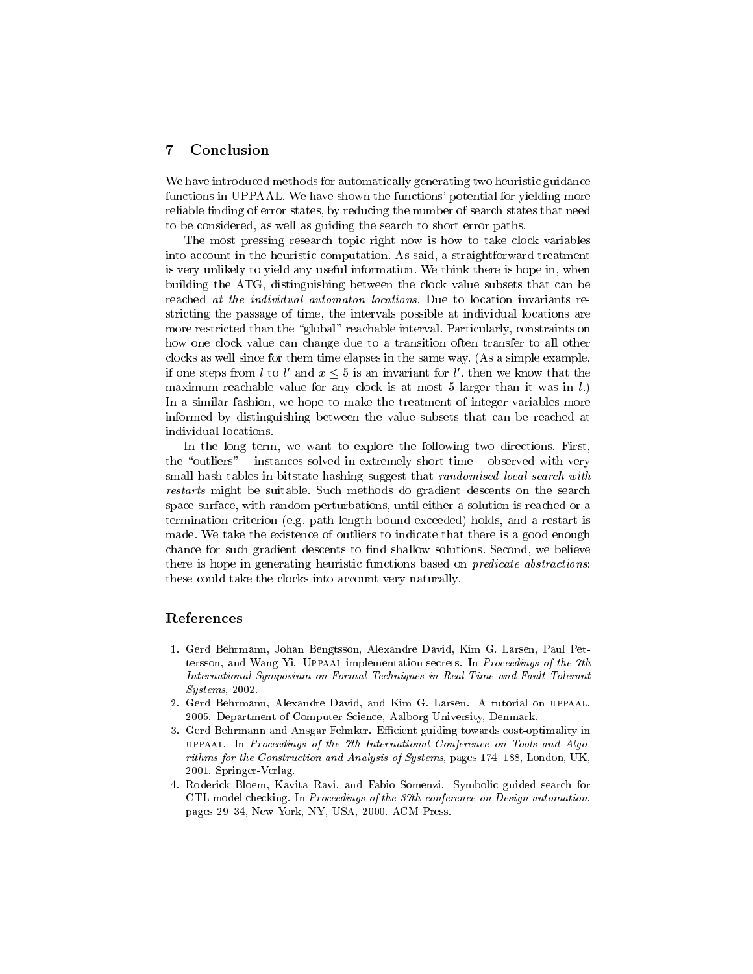# 7 Conclusion

We have introduced methods for automatically generating two heuristic guidance functions in UPPAAL. We have shown the functions' potential for yielding more reliable finding of error states, by reducing the number of search states that need to be considered, as well as guiding the search to short error paths.

The most pressing research topic right now is how to take clock variables into account in the heuristic computation. As said, a straightforward treatment is very unlikely to yield any useful information. We think there is hope in, when building the ATG, distinguishing between the clock value subsets that can be reached at the individual automaton locations. Due to location invariants restricting the passage of time, the intervals possible at individual locations are more restricted than the "global" reachable interval. Particularly, constraints on how one clock value can change due to a transition often transfer to all other clocks as well since for them time elapses in the same way. (As a simple example, if one steps from l to l' and  $x \leq 5$  is an invariant for l', then we know that the maximum reachable value for any clock is at most 5 larger than it was in  $l$ .) In a similar fashion, we hope to make the treatment of integer variables more informed by distinguishing between the value subsets that can be reached at individual locations.

In the long term, we want to explore the following two directions. First, the "outliers"  $-$  instances solved in extremely short time  $-$  observed with very small hash tables in bitstate hashing suggest that *randomised local search with* restarts might be suitable. Such methods do gradient descents on the search space surface, with random perturbations, until either a solution is reached or a termination criterion (e.g. path length bound exceeded) holds, and a restart is made. We take the existence of outliers to indicate that there is a good enough chance for such gradient descents to find shallow solutions. Second, we believe there is hope in generating heuristic functions based on *predicate abstractions*: these could take the clocks into account very naturally.

## References

- 1. Gerd Behrmann, Johan Bengtsson, Alexandre David, Kim G. Larsen, Paul Pettersson, and Wang Yi. Uppaal implementation secrets. In Proceedings of the 7th International Symposium on Formal Techniques in Real-Time and Fault Tolerant Systems, 2002.
- 2. Gerd Behrmann, Alexandre David, and Kim G. Larsen. A tutorial on uppaal, 2005. Department of Computer Science, Aalborg University, Denmark.
- 3. Gerd Behrmann and Ansgar Fehnker. Efficient guiding towards cost-optimality in uppaal. In Proceedings of the 7th International Conference on Tools and Algorithms for the Construction and Analysis of Systems, pages 174-188, London, UK, 2001. Springer-Verlag.
- 4. Roderick Bloem, Kavita Ravi, and Fabio Somenzi. Symbolic guided search for CTL model checking. In Proceedings of the 37th conference on Design automation, pages 29-34, New York, NY, USA, 2000. ACM Press.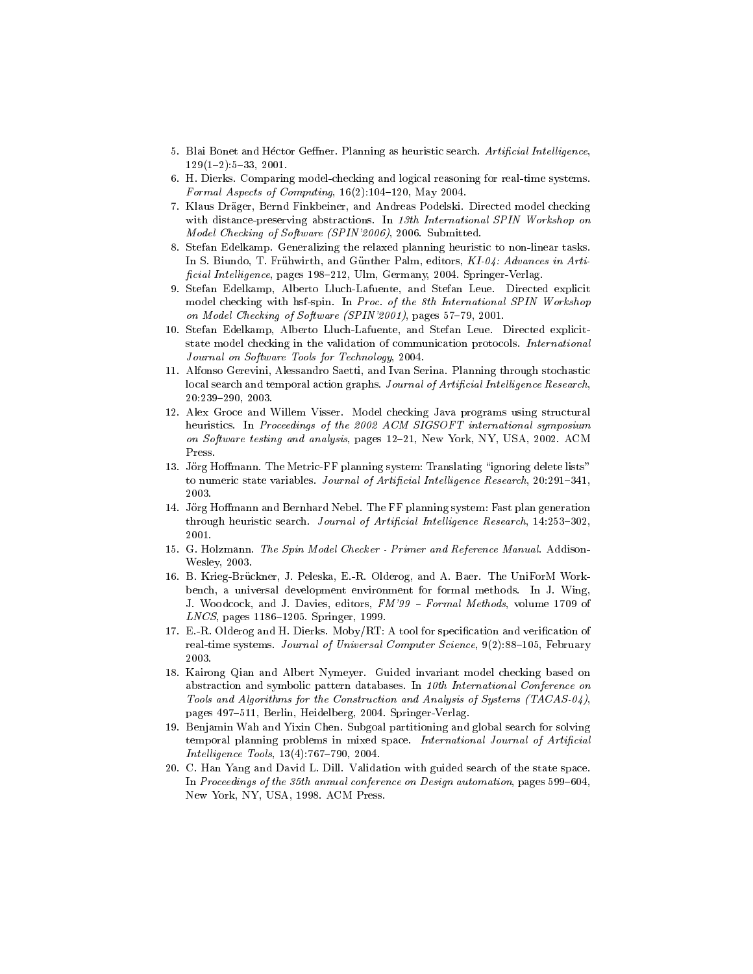- 5. Blai Bonet and Héctor Geffner. Planning as heuristic search. Artificial Intelligence,  $129(1–2):5{-}33, 2001.$
- 6. H. Dierks. Comparing model-checking and logical reasoning for real-time systems. Formal Aspects of Computing,  $16(2):104-120$ , May 2004.
- 7. Klaus Drager, Bernd Finkbeiner, and Andreas Podelski. Directed model checking with distance-preserving abstractions. In 13th International SPIN Workshop on Model Checking of Software (SPIN'2006), 2006. Submitted.
- 8. Stefan Edelkamp. Generalizing the relaxed planning heuristic to non-linear tasks. In S. Biundo, T. Frühwirth, and Günther Palm, editors, KI-04: Advances in Artificial Intelligence, pages 198-212, Ulm, Germany, 2004. Springer-Verlag.
- 9. Stefan Edelkamp, Alberto Lluch-Lafuente, and Stefan Leue. Directed explicit model checking with hsf-spin. In Proc. of the 8th International SPIN Workshop on Model Checking of Software (SPIN'2001), pages  $57-79$ , 2001.
- 10. Stefan Edelkamp, Alberto Lluch-Lafuente, and Stefan Leue. Directed explicitstate model checking in the validation of communication protocols. International Journal on Software Tools for Technology, 2004.
- 11. Alfonso Gerevini, Alessandro Saetti, and Ivan Serina. Planning through stochastic local search and temporal action graphs. Journal of Artificial Intelligence Research, 20:239-290, 2003.
- 12. Alex Groce and Willem Visser. Model checking Java programs using structural heuristics. In Proceedings of the 2002 ACM SIGSOFT international symposium on Software testing and analysis, pages 12-21, New York, NY, USA, 2002. ACM Press.
- 13. Jörg Hoffmann. The Metric-FF planning system: Translating "ignoring delete lists" to numeric state variables. Journal of Artificial Intelligence Research,  $20:291-341$ , 2003.
- 14. Jörg Hoffmann and Bernhard Nebel. The FF planning system: Fast plan generation through heuristic search. Journal of Artificial Intelligence Research,  $14:253-302$ , 2001.
- 15. G. Holzmann. The Spin Model Checker Primer and Reference Manual. Addison-Wesley, 2003.
- 16. B. Krieg-Bruckner, J. Peleska, E.-R. Olderog, and A. Baer. The UniForM Workbench, a universal development environment for formal methods. In J. Wing, J. Woodcock, and J. Davies, editors,  $FM'99 - Formal Methods$ , volume 1709 of  $LNCS$ , pages 1186-1205. Springer, 1999.
- 17. E.-R. Olderog and H. Dierks. Moby/RT: A tool for specification and verification of real-time systems. Journal of Universal Computer Science,  $9(2):88-105$ , February 2003.
- 18. Kairong Qian and Albert Nymeyer. Guided invariant model checking based on abstraction and symbolic pattern databases. In 10th International Conference on Tools and Algorithms for the Construction and Analysis of Systems (TACAS-04), pages 497-511, Berlin, Heidelberg, 2004. Springer-Verlag.
- 19. Benjamin Wah and Yixin Chen. Subgoal partitioning and global search for solving temporal planning problems in mixed space. International Journal of Artificial  $Intelligence Tools, 13(4): 767–790, 2004.$
- 20. C. Han Yang and David L. Dill. Validation with guided search of the state space. In Proceedings of the 35th annual conference on Design automation, pages  $599-604$ , New York, NY, USA, 1998. ACM Press.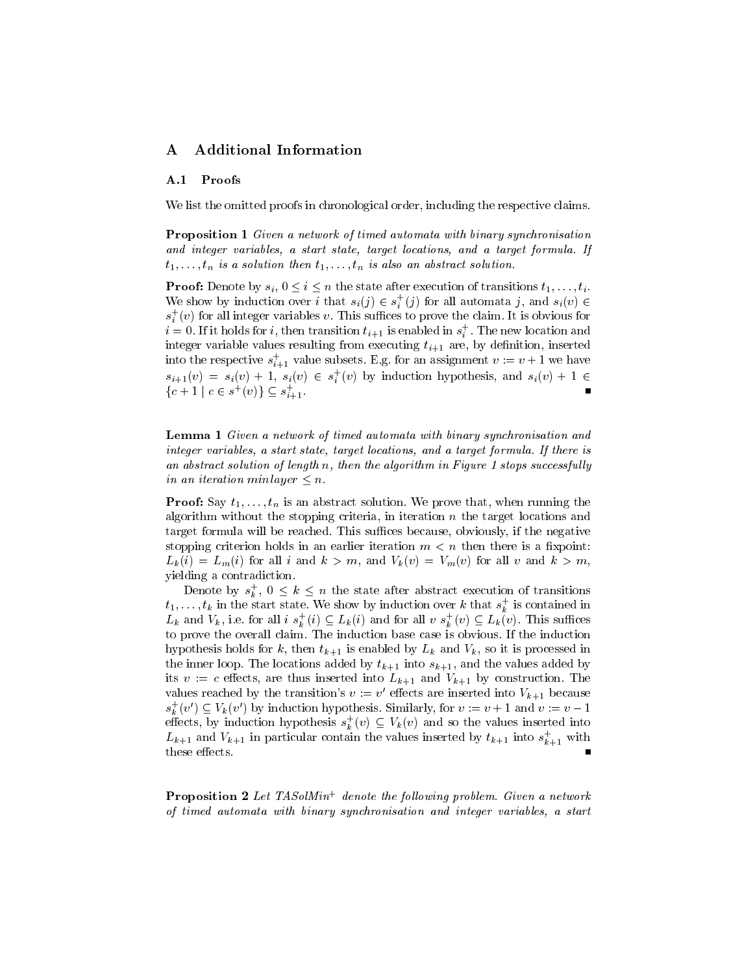## A Additional Information

### A.1 Proofs

We list the omitted proofs in chronological order, including the respective claims.

Proposition 1 Given a network of timed automata with binary synchronisation and integer variables, a start state, target locations, and a target formula. If  $t_1, \ldots, t_n$  is a solution then  $t_1, \ldots, t_n$  is also an abstract solution.

**Proof:** Denote by  $s_i$ ,  $0 \le i \le n$  the state after execution of transitions  $t_1, \ldots, t_i$ . We show by induction over i that  $s_i(j) \in s_i^+(j)$  for all automata j, and  $s_i(v) \in$  $s_i^+(v)$  for all integer variables v. This suffices to prove the claim. It is obvious for  $i = 0$ . If it holds for i, then transition  $t_{i+1}$  is enabled in  $s_i^+$ . The new location and integer variable values resulting from executing  $t_{i+1}$  are, by definition, inserted into the respective  $s_{i+1}^+$  value subsets. E.g. for an assignment  $v := v + 1$  we have  $s_{i+1}(v) = s_i(v) + 1$ ,  $s_i(v) \in s_i^+(v)$  by induction hypothesis, and  $s_i(v) + 1 \in$  $\{c+1 \mid c \in s^+(v)\} \subseteq s^+_{i+1}.$ 

Lemma 1 Given a network of timed automata with binary synchronisation and integer variables, a start state, target locations, and a target formula. If there is an abstract solution of length n, then the algorithm in Figure 1 stops successfully in an iteration minlayer  $\leq n$ .

**Proof:** Say  $t_1, \ldots, t_n$  is an abstract solution. We prove that, when running the algorithm without the stopping criteria, in iteration  $n$  the target locations and target formula will be reached. This suffices because, obviously, if the negative stopping criterion holds in an earlier iteration  $m < n$  then there is a fixpoint:  $L_k(i) = L_m(i)$  for all i and  $k > m$ , and  $V_k(v) = V_m(v)$  for all v and  $k > m$ , yielding a contradiction.

Denote by  $s_k^+$ ,  $0 \leq k \leq n$  the state after abstract execution of transitions  $t_1, \ldots, t_k$  in the start state. We show by induction over k that  $s_k^+$  is contained in  $L_k$  and  $V_k$ , i.e. for all  $i s_k^+(i) \subseteq L_k(i)$  and for all  $v s_k^+(v) \subseteq L_k(v)$ . This suffices to prove the overall claim. The induction base case is obvious. If the induction hypothesis holds for k, then  $t_{k+1}$  is enabled by  $L_k$  and  $V_k$ , so it is processed in the inner loop. The locations added by  $t_{k+1}$  into  $s_{k+1}$ , and the values added by its  $v := c$  effects, are thus inserted into  $L_{k+1}$  and  $V_{k+1}$  by construction. The values reached by the transition's  $v := v'$  effects are inserted into  $V_{k+1}$  because  $s_k^+(v') \subseteq V_k(v')$  by induction hypothesis. Similarly, for  $v := v + 1$  and  $v := v - 1$ effects, by induction hypothesis  $s_k^+(v) \subseteq V_k(v)$  and so the values inserted into  $L_{k+1}$  and  $V_{k+1}$  in particular contain the values inserted by  $t_{k+1}$  into  $s_{k+1}^+$  with these effects.

**Proposition 2** Let  $TASolMin^+$  denote the following problem. Given a network of timed automata with binary synchronisation and integer variables, a start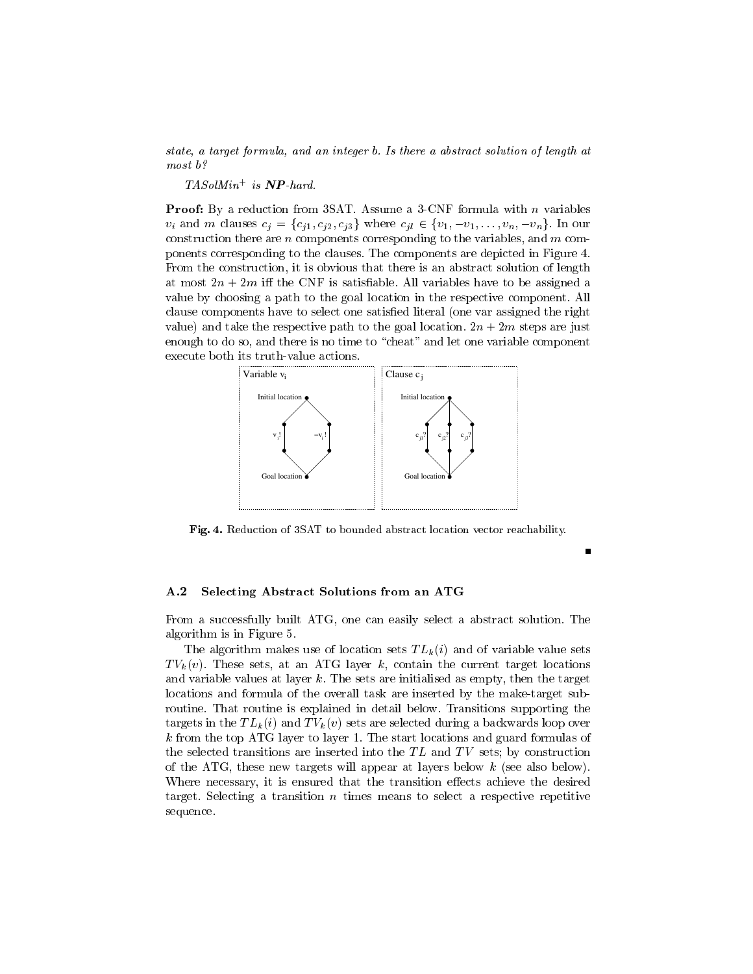state, a target formula, and an integer b. Is there a abstract solution of length at most b?

 $TASolMin^+$  is  $NP$ -hard.

**Proof:** By a reduction from  $3SAT$ . Assume a 3-CNF formula with n variables  $v_i$  and m clauses  $c_j = \{c_{j1}, c_{j2}, c_{j3}\}\$  where  $c_{jl} \in \{v_1, -v_1, \ldots, v_n, -v_n\}\$ . In our construction there are  $n$  components corresponding to the variables, and  $m$  components corresponding to the clauses. The components are depicted in Figure 4. From the construction, it is obvious that there is an abstract solution of length at most  $2n + 2m$  iff the CNF is satisfiable. All variables have to be assigned a value by choosing a path to the goal location in the respective component. All clause components have to select one satised literal (one var assigned the right value) and take the respective path to the goal location.  $2n + 2m$  steps are just enough to do so, and there is no time to "cheat" and let one variable component execute both its truth-value actions.



Fig. 4. Reduction of 3SAT to bounded abstract location vector reachability.

# Г

#### A.2 Selecting Abstract Solutions from an ATG

From a successfully built ATG, one can easily select a abstract solution. The algorithm is in Figure 5.

The algorithm makes use of location sets  $TL_k(i)$  and of variable value sets  $TV_k(v)$ . These sets, at an ATG layer k, contain the current target locations and variable values at layer  $k$ . The sets are initialised as empty, then the target locations and formula of the overall task are inserted by the make-target subroutine. That routine is explained in detail below. Transitions supporting the targets in the  $TL_k(i)$  and  $TV_k(v)$  sets are selected during a backwards loop over k from the top ATG layer to layer 1. The start locations and guard formulas of the selected transitions are inserted into the  $TL$  and  $TV$  sets; by construction of the ATG, these new targets will appear at layers below  $k$  (see also below). Where necessary, it is ensured that the transition effects achieve the desired target. Selecting a transition  $n$  times means to select a respective repetitive sequence.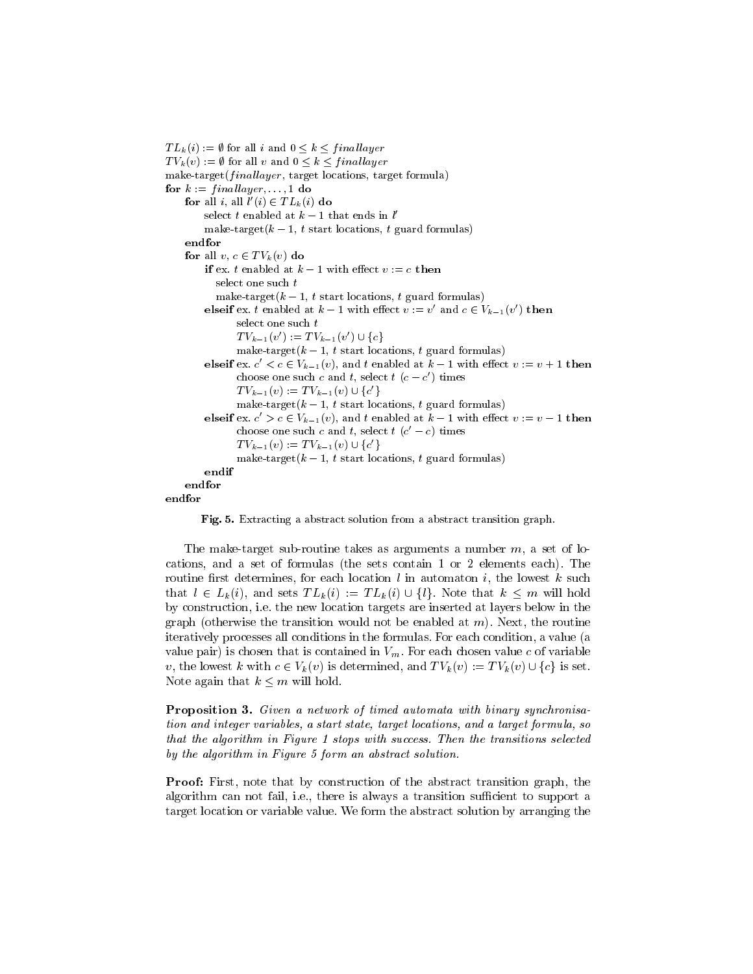$TL_k(i) := \emptyset$  for all i and  $0 \leq k \leq final layer$  $TV_k(v) := \emptyset$  for all v and  $0 \leq k \leq final layer$ make-target $(finallayer,$  target locations, target formula) for  $k := final layer, \ldots, 1$  do for all  $i$ , all  $l'(i) \in TL_k(i)$  do select t enabled at  $k-1$  that ends in l' make-target( $k - 1$ , t start locations, t guard formulas) endfor for all  $v, c \in TV_k(v)$  do if ex. t enabled at  $k-1$  with effect  $v := c$  then select one such  $t$ make-target( $k - 1$ , t start locations, t guard formulas) elseif ex. t enabled at  $k-1$  with effect  $v := v'$  and  $c \in V_{k-1}(v')$  then select one such  $t$  $TV_{k-1}(v') := TV_{k-1}(v') \cup \{c\}$ make-target( $k-1$ ,  $t$  start locations,  $t$  guard formulas) elseif ex.  $c' < c \in V_{k-1}(v)$ , and t enabled at  $k-1$  with effect  $v := v + 1$  then choose one such c and t, select  $t$   $(c - c')$  times  $TV_{k-1}(v) := TV_{k-1}(v) \cup \{c'\}$ make-target( $k - 1$ , t start locations, t guard formulas) elseif ex.  $c' > c \in V_{k-1}(v)$ , and t enabled at  $k-1$  with effect  $v := v - 1$  then choose one such c and t, select  $t(c'-c)$  times  $TV_{k-1}(v) := TV_{k-1}(v) \stackrel{\cdot}{\cup} \{c'\}$ make-target( $k - 1$ , t start locations, t guard formulas) endif endfor endfor

Fig. 5. Extracting a abstract solution from a abstract transition graph.

The make-target sub-routine takes as arguments a number  $m$ , a set of locations, and a set of formulas (the sets contain 1 or 2 elements each). The routine first determines, for each location  $l$  in automaton  $i$ , the lowest  $k$  such that  $l \in L_k(i)$ , and sets  $TL_k(i) := TL_k(i) \cup \{l\}$ . Note that  $k \leq m$  will hold by construction, i.e. the new location targets are inserted at layers below in the graph (otherwise the transition would not be enabled at  $m$ ). Next, the routine iteratively processes all conditions in the formulas. For each condition, a value (a value pair) is chosen that is contained in  $V_m$ . For each chosen value c of variable v, the lowest k with  $c \in V_k(v)$  is determined, and  $TV_k(v) := TV_k(v) \cup \{c\}$  is set. Note again that  $k \leq m$  will hold.

Proposition 3. Given a network of timed automata with binary synchronisation and integer variables, a start state, target locations, and a target formula, so that the algorithm in Figure 1 stops with success. Then the transitions selected by the algorithm in Figure 5 form an abstract solution.

Proof: First, note that by construction of the abstract transition graph, the algorithm can not fail, i.e., there is always a transition sufficient to support a target location or variable value. We form the abstract solution by arranging the